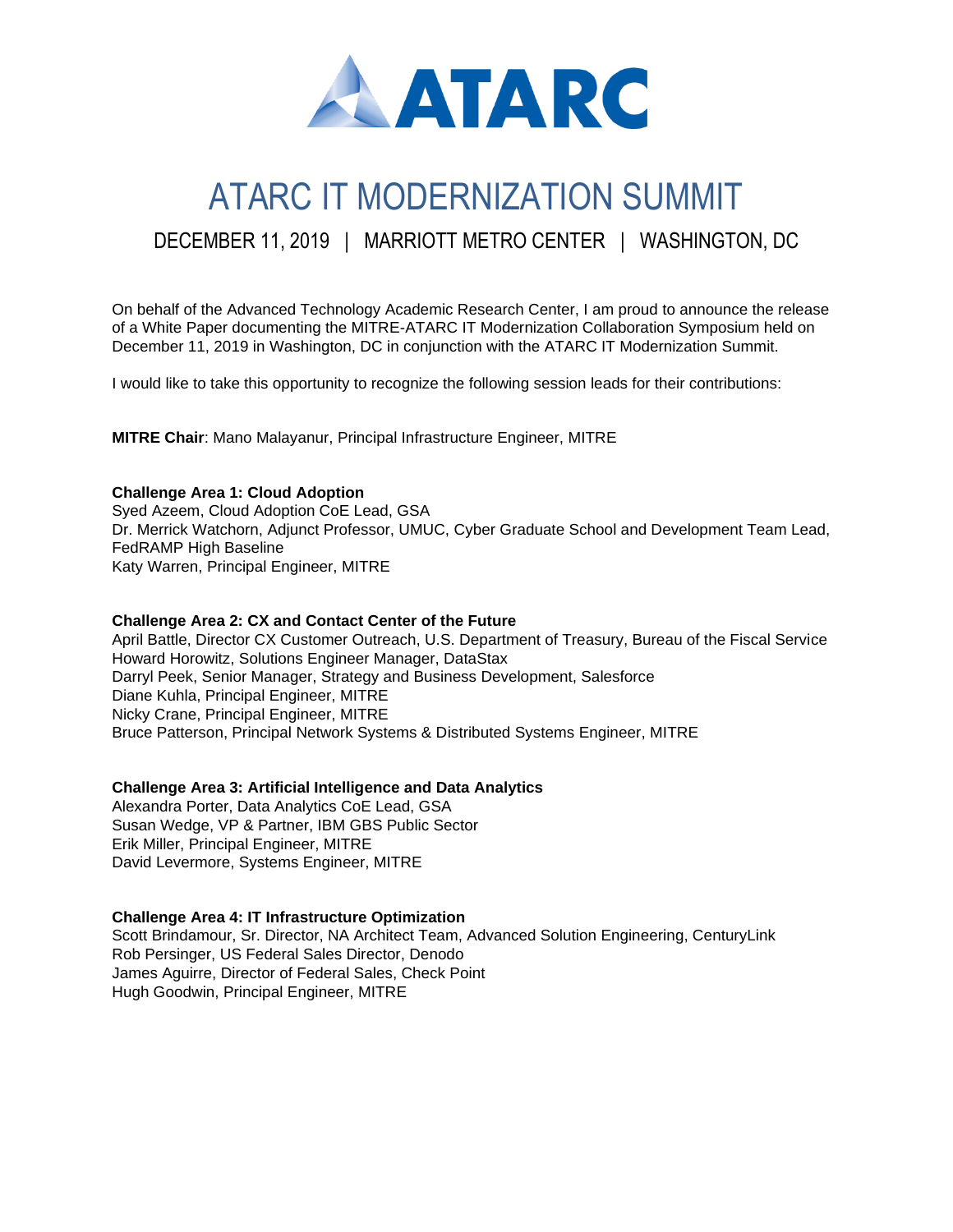

# ATARC IT MODERNIZATION SUMMIT

# DECEMBER 11, 2019 | MARRIOTT METRO CENTER | WASHINGTON, DC

On behalf of the Advanced Technology Academic Research Center, I am proud to announce the release of a White Paper documenting the MITRE-ATARC IT Modernization Collaboration Symposium held on December 11, 2019 in Washington, DC in conjunction with the ATARC IT Modernization Summit.

I would like to take this opportunity to recognize the following session leads for their contributions:

**MITRE Chair**: Mano Malayanur, Principal Infrastructure Engineer, MITRE

#### **Challenge Area 1: Cloud Adoption**

Syed Azeem, Cloud Adoption CoE Lead, GSA Dr. Merrick Watchorn, Adjunct Professor, UMUC, Cyber Graduate School and Development Team Lead, FedRAMP High Baseline Katy Warren, Principal Engineer, MITRE

#### **Challenge Area 2: CX and Contact Center of the Future**

April Battle, Director CX Customer Outreach, U.S. Department of Treasury, Bureau of the Fiscal Service Howard Horowitz, Solutions Engineer Manager, DataStax Darryl Peek, Senior Manager, Strategy and Business Development, Salesforce Diane Kuhla, Principal Engineer, MITRE Nicky Crane, Principal Engineer, MITRE Bruce Patterson, Principal Network Systems & Distributed Systems Engineer, MITRE

## **Challenge Area 3: Artificial Intelligence and Data Analytics**

Alexandra Porter, Data Analytics CoE Lead, GSA Susan Wedge, VP & Partner, IBM GBS Public Sector Erik Miller, Principal Engineer, MITRE David Levermore, Systems Engineer, MITRE

#### **Challenge Area 4: IT Infrastructure Optimization**

Scott Brindamour, Sr. Director, NA Architect Team, Advanced Solution Engineering, CenturyLink Rob Persinger, US Federal Sales Director, Denodo James Aguirre, Director of Federal Sales, Check Point Hugh Goodwin, Principal Engineer, MITRE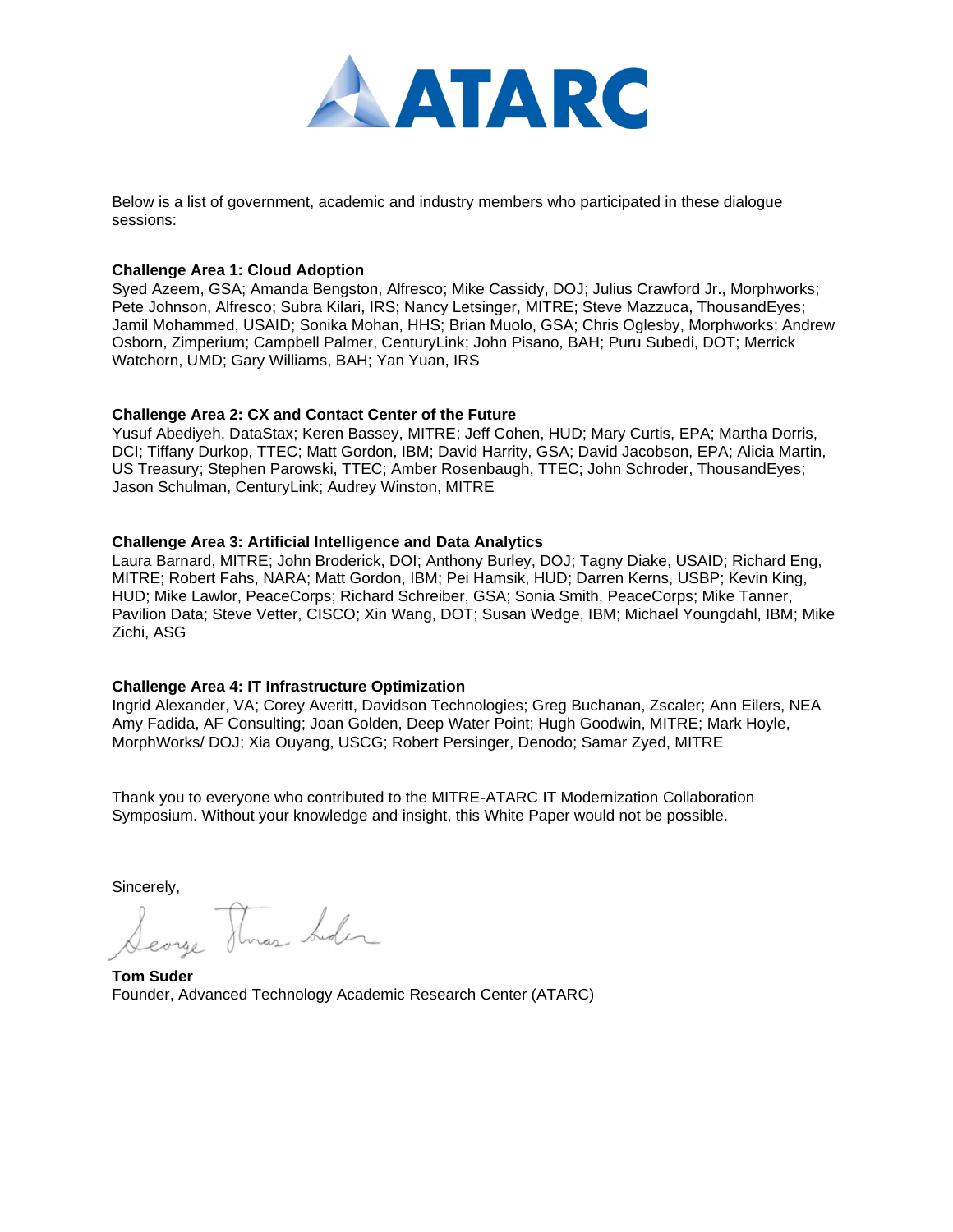

Below is a list of government, academic and industry members who participated in these dialogue sessions:

#### **Challenge Area 1: Cloud Adoption**

Syed Azeem, GSA; Amanda Bengston, Alfresco; Mike Cassidy, DOJ; Julius Crawford Jr., Morphworks; Pete Johnson, Alfresco; Subra Kilari, IRS; Nancy Letsinger, MITRE; Steve Mazzuca, ThousandEyes; Jamil Mohammed, USAID; Sonika Mohan, HHS; Brian Muolo, GSA; Chris Oglesby, Morphworks; Andrew Osborn, Zimperium; Campbell Palmer, CenturyLink; John Pisano, BAH; Puru Subedi, DOT; Merrick Watchorn, UMD; Gary Williams, BAH; Yan Yuan, IRS

#### **Challenge Area 2: CX and Contact Center of the Future**

Yusuf Abediyeh, DataStax; Keren Bassey, MITRE; Jeff Cohen, HUD; Mary Curtis, EPA; Martha Dorris, DCI; Tiffany Durkop, TTEC; Matt Gordon, IBM; David Harrity, GSA; David Jacobson, EPA; Alicia Martin, US Treasury; Stephen Parowski, TTEC; Amber Rosenbaugh, TTEC; John Schroder, ThousandEyes; Jason Schulman, CenturyLink; Audrey Winston, MITRE

#### **Challenge Area 3: Artificial Intelligence and Data Analytics**

Laura Barnard, MITRE; John Broderick, DOI; Anthony Burley, DOJ; Tagny Diake, USAID; Richard Eng, MITRE; Robert Fahs, NARA; Matt Gordon, IBM; Pei Hamsik, HUD; Darren Kerns, USBP; Kevin King, HUD; Mike Lawlor, PeaceCorps; Richard Schreiber, GSA; Sonia Smith, PeaceCorps; Mike Tanner, Pavilion Data; Steve Vetter, CISCO; Xin Wang, DOT; Susan Wedge, IBM; Michael Youngdahl, IBM; Mike Zichi, ASG

#### **Challenge Area 4: IT Infrastructure Optimization**

Ingrid Alexander, VA; Corey Averitt, Davidson Technologies; Greg Buchanan, Zscaler; Ann Eilers, NEA Amy Fadida, AF Consulting; Joan Golden, Deep Water Point; Hugh Goodwin, MITRE; Mark Hoyle, MorphWorks/ DOJ; Xia Ouyang, USCG; Robert Persinger, Denodo; Samar Zyed, MITRE

Thank you to everyone who contributed to the MITRE-ATARC IT Modernization Collaboration Symposium. Without your knowledge and insight, this White Paper would not be possible.

Sincerely,

Searge Thras Suden

**Tom Suder** Founder, Advanced Technology Academic Research Center (ATARC)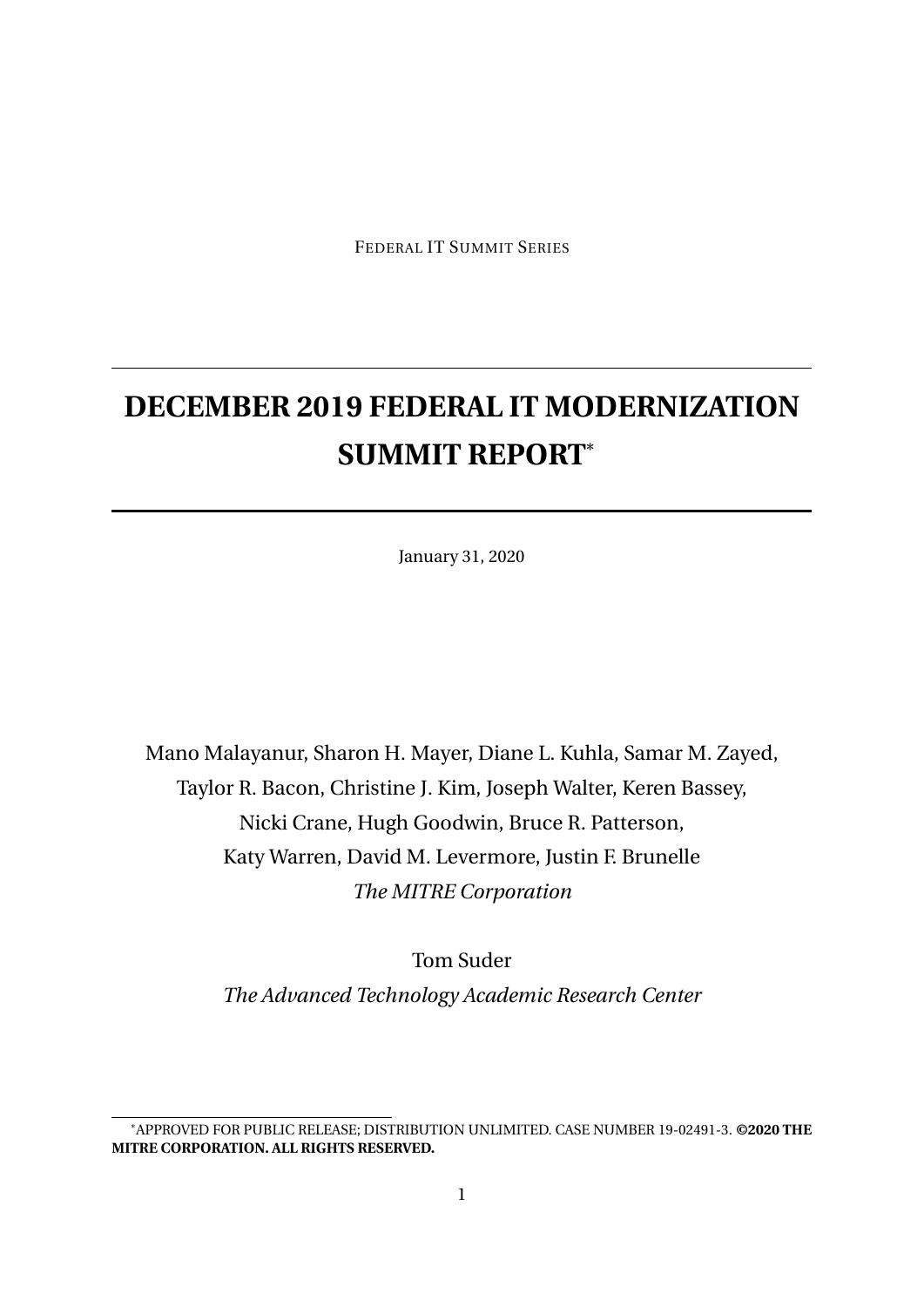FEDERAL IT SUMMIT SERIES

# **DECEMBER 2019 FEDERAL IT MODERNIZATION SUMMIT REPORT**\*

January 31, 2020

Mano Malayanur, Sharon H. Mayer, Diane L. Kuhla, Samar M. Zayed, Taylor R. Bacon, Christine J. Kim, Joseph Walter, Keren Bassey, Nicki Crane, Hugh Goodwin, Bruce R. Patterson, Katy Warren, David M. Levermore, Justin F. Brunelle *The MITRE Corporation*

> Tom Suder *The Advanced Technology Academic Research Center*

<sup>\*</sup>APPROVED FOR PUBLIC RELEASE; DISTRIBUTION UNLIMITED. CASE NUMBER 19-02491-3. **©2020 THE MITRE CORPORATION. ALL RIGHTS RESERVED.**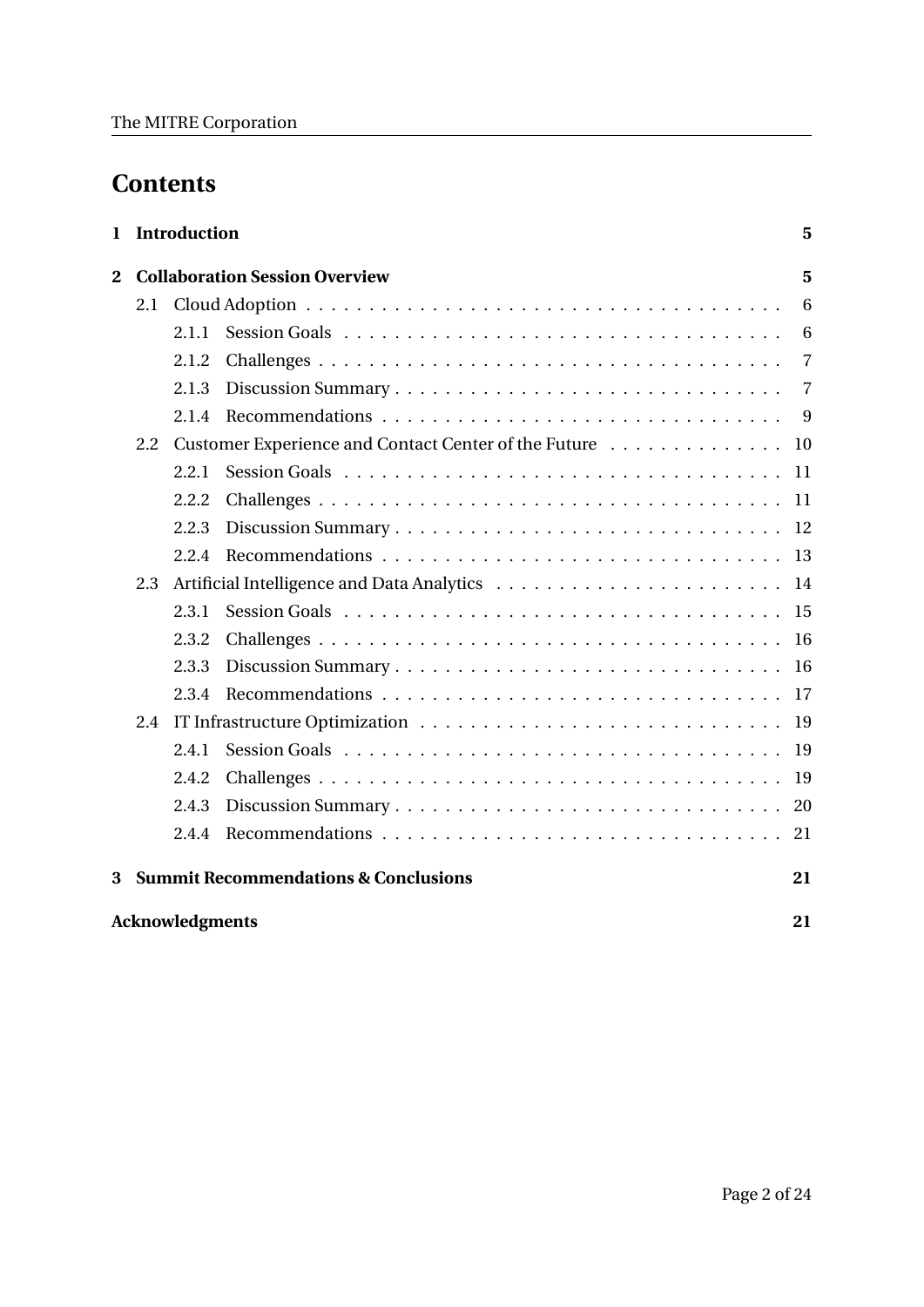# **Contents**

| 1.                           |     | <b>Introduction</b><br>5 |                                                      |           |  |  |  |  |  |
|------------------------------|-----|--------------------------|------------------------------------------------------|-----------|--|--|--|--|--|
| $\overline{2}$               |     |                          | <b>Collaboration Session Overview</b>                | 5         |  |  |  |  |  |
|                              | 2.1 |                          |                                                      | 6         |  |  |  |  |  |
|                              |     | 2.1.1                    |                                                      | 6         |  |  |  |  |  |
|                              |     | 2.1.2                    |                                                      | 7         |  |  |  |  |  |
|                              |     | 2.1.3                    |                                                      | 7         |  |  |  |  |  |
|                              |     | 2.1.4                    |                                                      | 9         |  |  |  |  |  |
|                              | 2.2 |                          | Customer Experience and Contact Center of the Future | <b>10</b> |  |  |  |  |  |
|                              |     | 2.2.1                    |                                                      | -11       |  |  |  |  |  |
|                              |     | 2.2.2                    |                                                      | -11       |  |  |  |  |  |
|                              |     | 2.2.3                    |                                                      | 12        |  |  |  |  |  |
|                              |     | 2.2.4                    |                                                      | 13        |  |  |  |  |  |
|                              | 2.3 |                          |                                                      | 14        |  |  |  |  |  |
|                              |     | 2.3.1                    |                                                      | 15        |  |  |  |  |  |
|                              |     | 2.3.2                    |                                                      | 16        |  |  |  |  |  |
|                              |     | 2.3.3                    |                                                      |           |  |  |  |  |  |
|                              |     | 2.3.4                    |                                                      | 17        |  |  |  |  |  |
|                              | 2.4 |                          |                                                      | <b>19</b> |  |  |  |  |  |
|                              |     | 2.4.1                    |                                                      | 19        |  |  |  |  |  |
|                              |     | 2.4.2                    |                                                      | 19        |  |  |  |  |  |
|                              |     | 2.4.3                    |                                                      | 20        |  |  |  |  |  |
|                              |     | 2.4.4                    |                                                      | 21        |  |  |  |  |  |
| 3                            |     |                          | <b>Summit Recommendations &amp; Conclusions</b>      | 21        |  |  |  |  |  |
| <b>Acknowledgments</b><br>21 |     |                          |                                                      |           |  |  |  |  |  |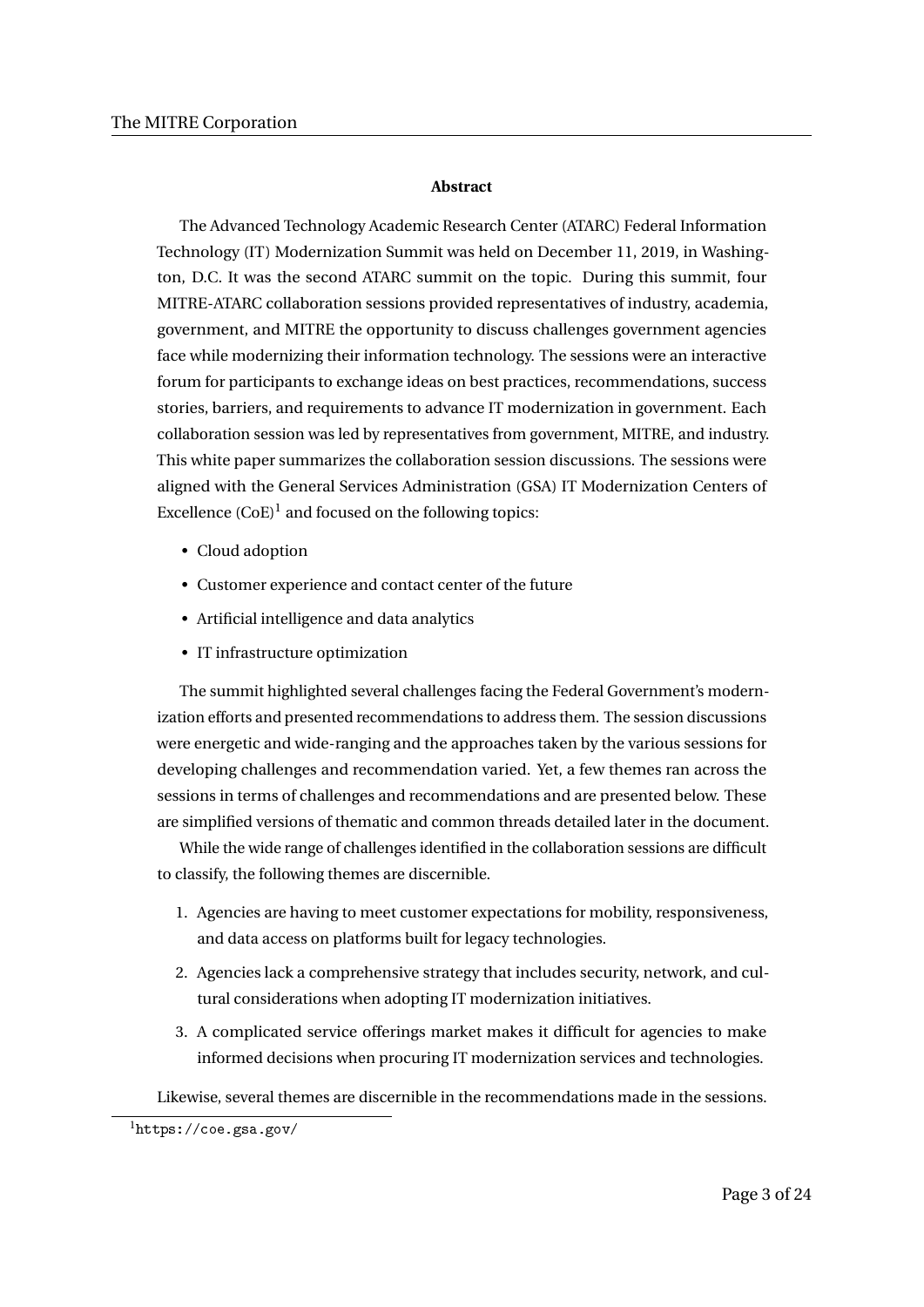#### **Abstract**

The Advanced Technology Academic Research Center (ATARC) Federal Information Technology (IT) Modernization Summit was held on December 11, 2019, in Washington, D.C. It was the second ATARC summit on the topic. During this summit, four MITRE-ATARC collaboration sessions provided representatives of industry, academia, government, and MITRE the opportunity to discuss challenges government agencies face while modernizing their information technology. The sessions were an interactive forum for participants to exchange ideas on best practices, recommendations, success stories, barriers, and requirements to advance IT modernization in government. Each collaboration session was led by representatives from government, MITRE, and industry. This white paper summarizes the collaboration session discussions. The sessions were aligned with the General Services Administration (GSA) IT Modernization Centers of Excellence  $(CoE)^1$  and focused on the following topics:

- Cloud adoption
- Customer experience and contact center of the future
- Artificial intelligence and data analytics
- IT infrastructure optimization

The summit highlighted several challenges facing the Federal Government's modernization efforts and presented recommendations to address them. The session discussions were energetic and wide-ranging and the approaches taken by the various sessions for developing challenges and recommendation varied. Yet, a few themes ran across the sessions in terms of challenges and recommendations and are presented below. These are simplified versions of thematic and common threads detailed later in the document.

While the wide range of challenges identified in the collaboration sessions are difficult to classify, the following themes are discernible.

- 1. Agencies are having to meet customer expectations for mobility, responsiveness, and data access on platforms built for legacy technologies.
- 2. Agencies lack a comprehensive strategy that includes security, network, and cultural considerations when adopting IT modernization initiatives.
- 3. A complicated service offerings market makes it difficult for agencies to make informed decisions when procuring IT modernization services and technologies.

Likewise, several themes are discernible in the recommendations made in the sessions.

 $<sup>1</sup>$ https://coe.gsa.gov/</sup>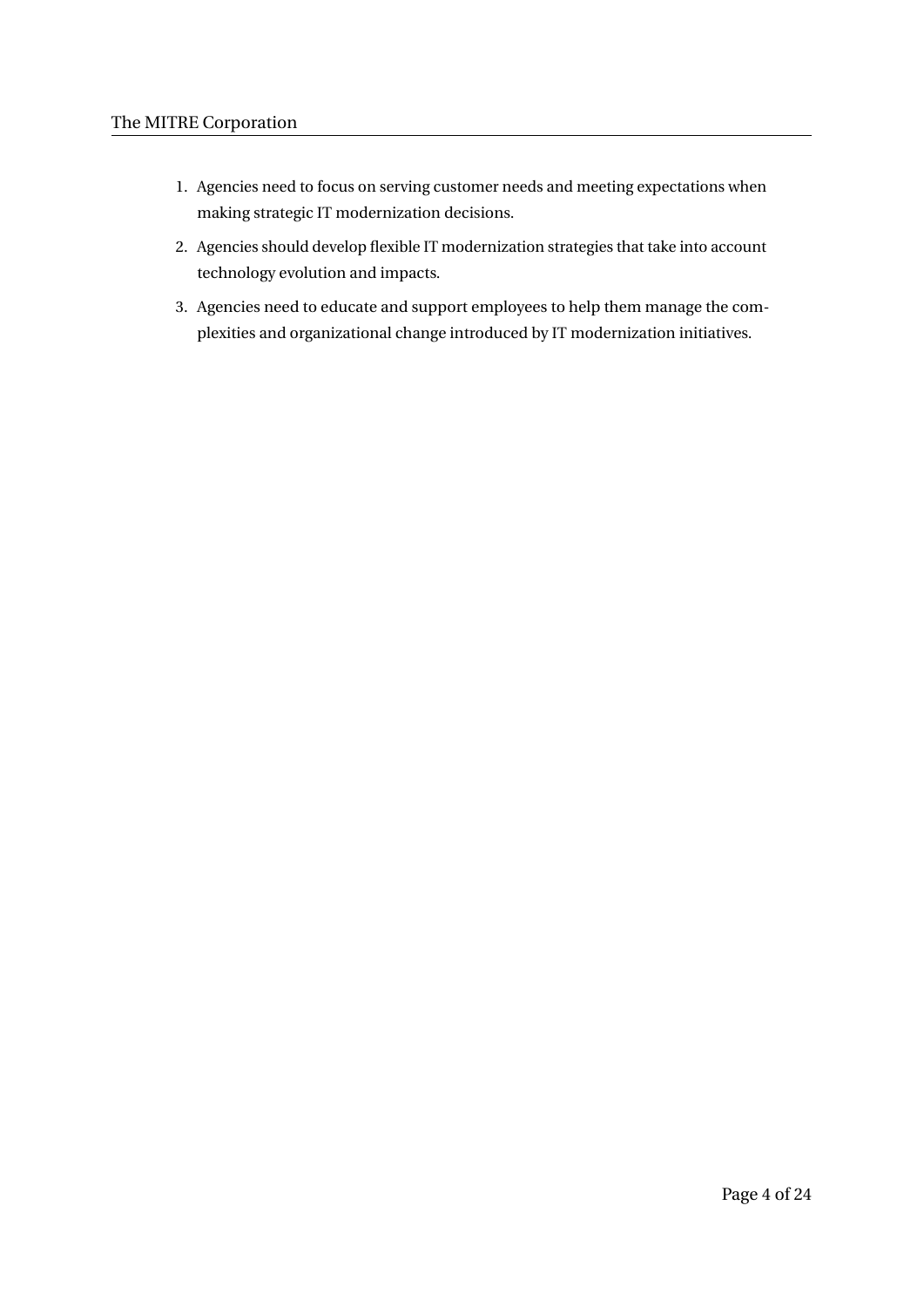- 1. Agencies need to focus on serving customer needs and meeting expectations when making strategic IT modernization decisions.
- 2. Agencies should develop flexible IT modernization strategies that take into account technology evolution and impacts.
- 3. Agencies need to educate and support employees to help them manage the complexities and organizational change introduced by IT modernization initiatives.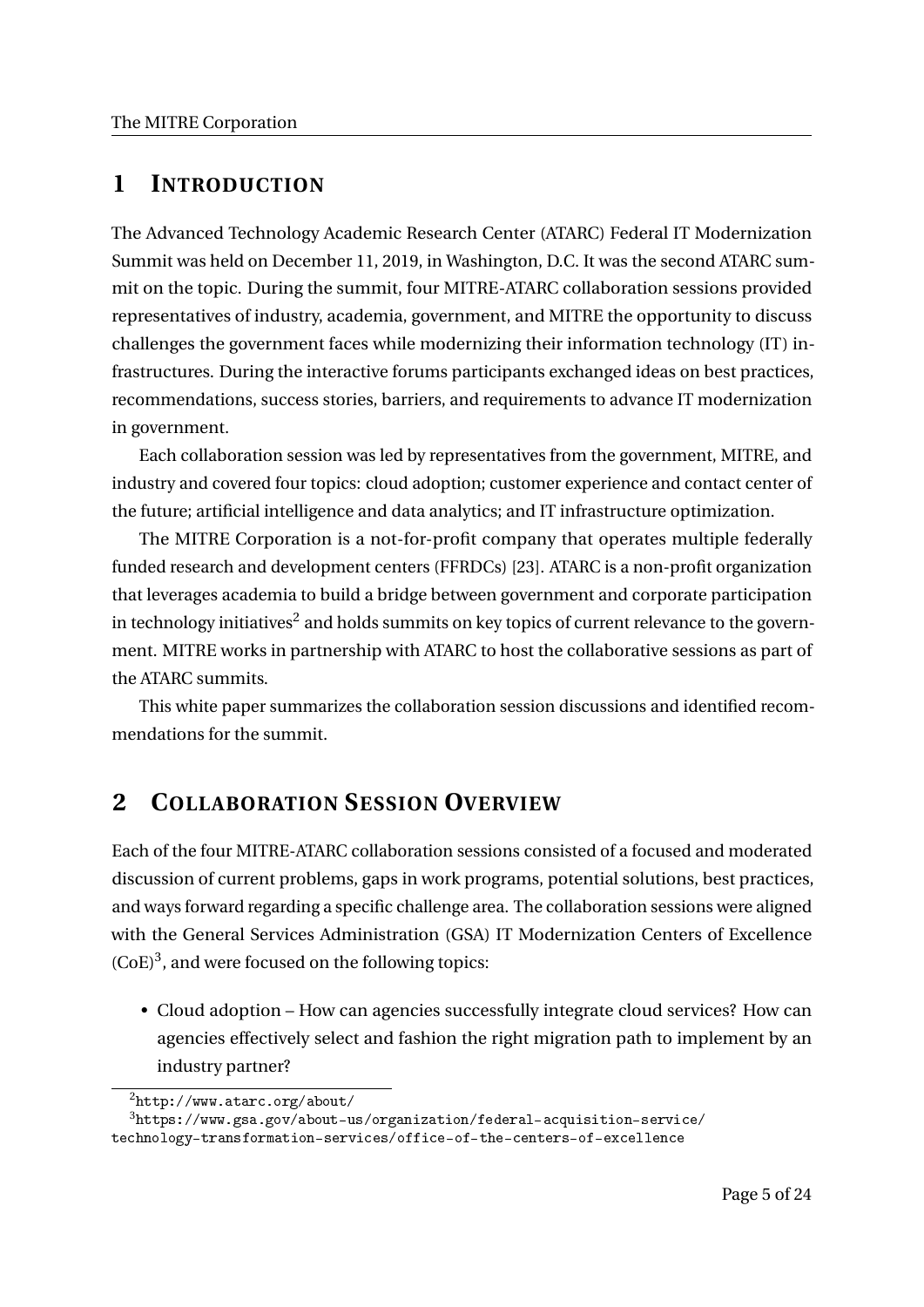# **1 INTRODUCTION**

The Advanced Technology Academic Research Center (ATARC) Federal IT Modernization Summit was held on December 11, 2019, in Washington, D.C. It was the second ATARC summit on the topic. During the summit, four MITRE-ATARC collaboration sessions provided representatives of industry, academia, government, and MITRE the opportunity to discuss challenges the government faces while modernizing their information technology (IT) infrastructures. During the interactive forums participants exchanged ideas on best practices, recommendations, success stories, barriers, and requirements to advance IT modernization in government.

Each collaboration session was led by representatives from the government, MITRE, and industry and covered four topics: cloud adoption; customer experience and contact center of the future; artificial intelligence and data analytics; and IT infrastructure optimization.

The MITRE Corporation is a not-for-profit company that operates multiple federally funded research and development centers (FFRDCs) [23]. ATARC is a non-profit organization that leverages academia to build a bridge between government and corporate participation in technology initiatives $^2$  and holds summits on key topics of current relevance to the government. MITRE works in partnership with ATARC to host the collaborative sessions as part of the ATARC summits.

This white paper summarizes the collaboration session discussions and identified recommendations for the summit.

# **2 COLLABORATION SESSION OVERVIEW**

Each of the four MITRE-ATARC collaboration sessions consisted of a focused and moderated discussion of current problems, gaps in work programs, potential solutions, best practices, and ways forward regarding a specific challenge area. The collaboration sessions were aligned with the General Services Administration (GSA) IT Modernization Centers of Excellence  $(CoE)<sup>3</sup>$ , and were focused on the following topics:

• Cloud adoption – How can agencies successfully integrate cloud services? How can agencies effectively select and fashion the right migration path to implement by an industry partner?

 $^{2}$ http://www.atarc.org/about/

<sup>3</sup>https://www.gsa.gov/about-us/organization/federal-acquisition-service/

technology-transformation-services/office-of-the-centers-of-excellence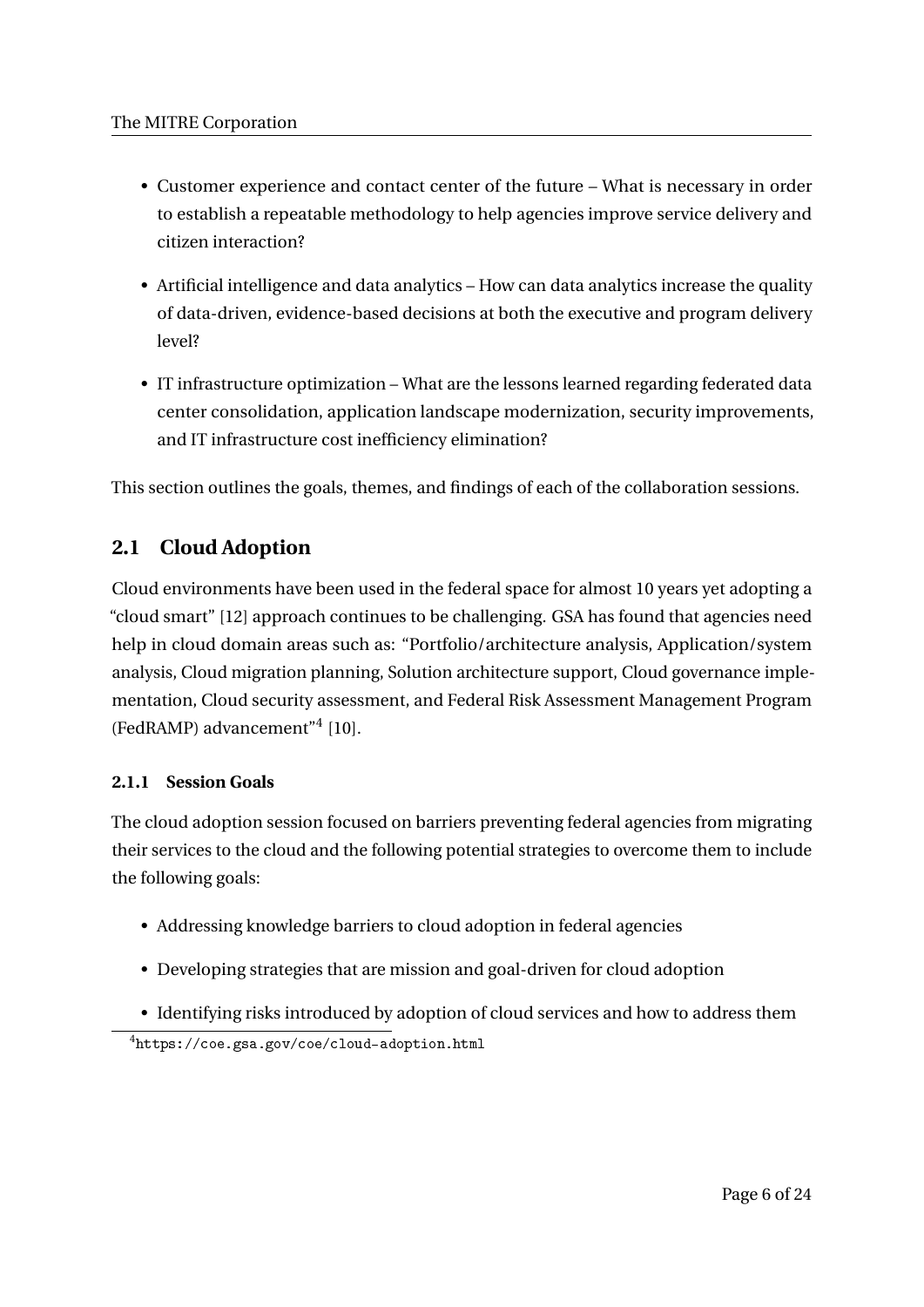- Customer experience and contact center of the future What is necessary in order to establish a repeatable methodology to help agencies improve service delivery and citizen interaction?
- Artificial intelligence and data analytics How can data analytics increase the quality of data-driven, evidence-based decisions at both the executive and program delivery level?
- IT infrastructure optimization What are the lessons learned regarding federated data center consolidation, application landscape modernization, security improvements, and IT infrastructure cost inefficiency elimination?

This section outlines the goals, themes, and findings of each of the collaboration sessions.

# **2.1 Cloud Adoption**

Cloud environments have been used in the federal space for almost 10 years yet adopting a "cloud smart" [12] approach continues to be challenging. GSA has found that agencies need help in cloud domain areas such as: "Portfolio/architecture analysis, Application/system analysis, Cloud migration planning, Solution architecture support, Cloud governance implementation, Cloud security assessment, and Federal Risk Assessment Management Program (FedRAMP) advancement"<sup>4</sup> [10].

# **2.1.1 Session Goals**

The cloud adoption session focused on barriers preventing federal agencies from migrating their services to the cloud and the following potential strategies to overcome them to include the following goals:

- Addressing knowledge barriers to cloud adoption in federal agencies
- Developing strategies that are mission and goal-driven for cloud adoption
- Identifying risks introduced by adoption of cloud services and how to address them

<sup>4</sup>https://coe.gsa.gov/coe/cloud-adoption.html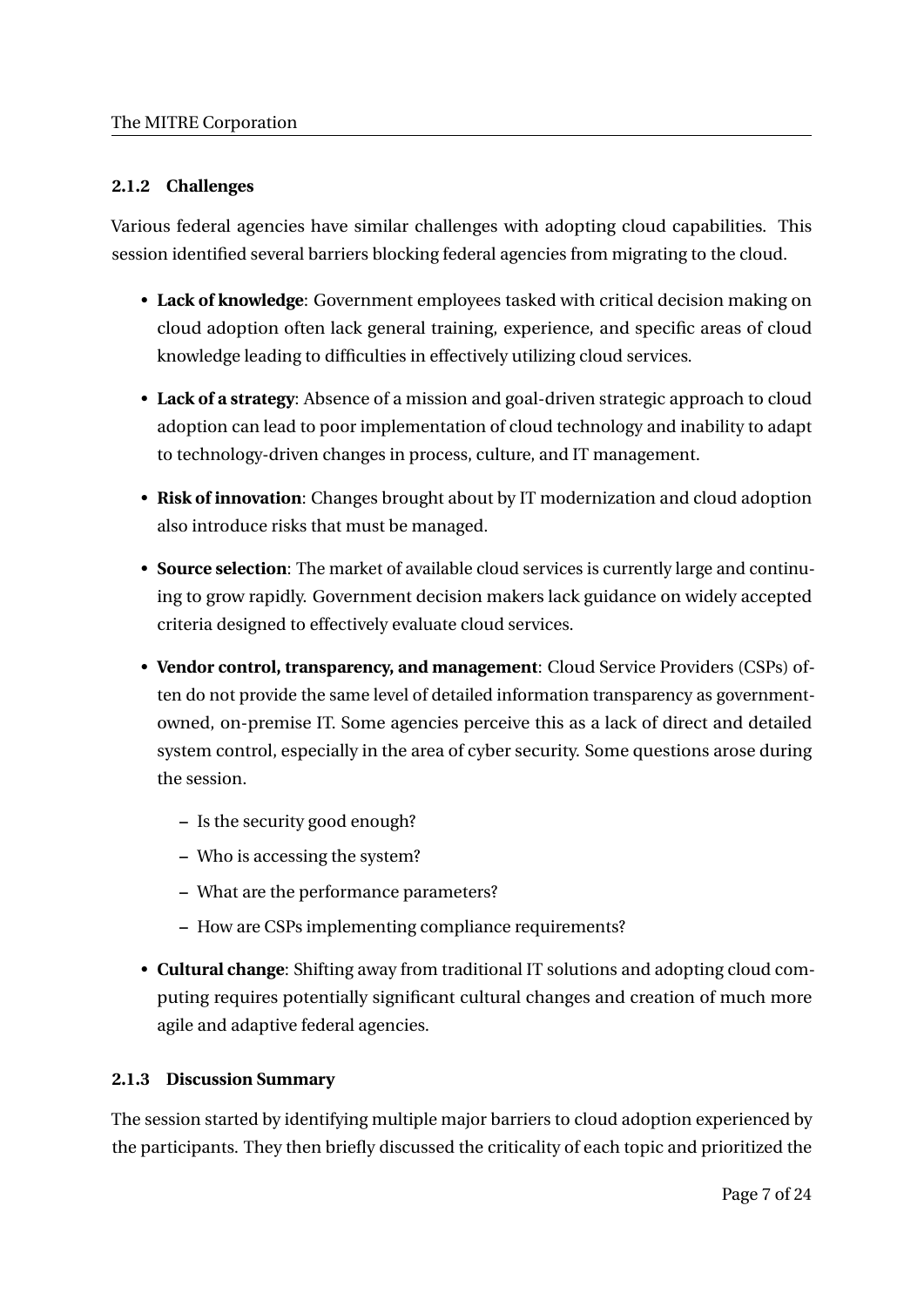# **2.1.2 Challenges**

Various federal agencies have similar challenges with adopting cloud capabilities. This session identified several barriers blocking federal agencies from migrating to the cloud.

- **Lack of knowledge**: Government employees tasked with critical decision making on cloud adoption often lack general training, experience, and specific areas of cloud knowledge leading to difficulties in effectively utilizing cloud services.
- **Lack of a strategy**: Absence of a mission and goal-driven strategic approach to cloud adoption can lead to poor implementation of cloud technology and inability to adapt to technology-driven changes in process, culture, and IT management.
- **Risk of innovation**: Changes brought about by IT modernization and cloud adoption also introduce risks that must be managed.
- **Source selection**: The market of available cloud services is currently large and continuing to grow rapidly. Government decision makers lack guidance on widely accepted criteria designed to effectively evaluate cloud services.
- **Vendor control, transparency, and management**: Cloud Service Providers (CSPs) often do not provide the same level of detailed information transparency as governmentowned, on-premise IT. Some agencies perceive this as a lack of direct and detailed system control, especially in the area of cyber security. Some questions arose during the session.
	- **–** Is the security good enough?
	- **–** Who is accessing the system?
	- **–** What are the performance parameters?
	- **–** How are CSPs implementing compliance requirements?
- **Cultural change**: Shifting away from traditional IT solutions and adopting cloud computing requires potentially significant cultural changes and creation of much more agile and adaptive federal agencies.

# **2.1.3 Discussion Summary**

The session started by identifying multiple major barriers to cloud adoption experienced by the participants. They then briefly discussed the criticality of each topic and prioritized the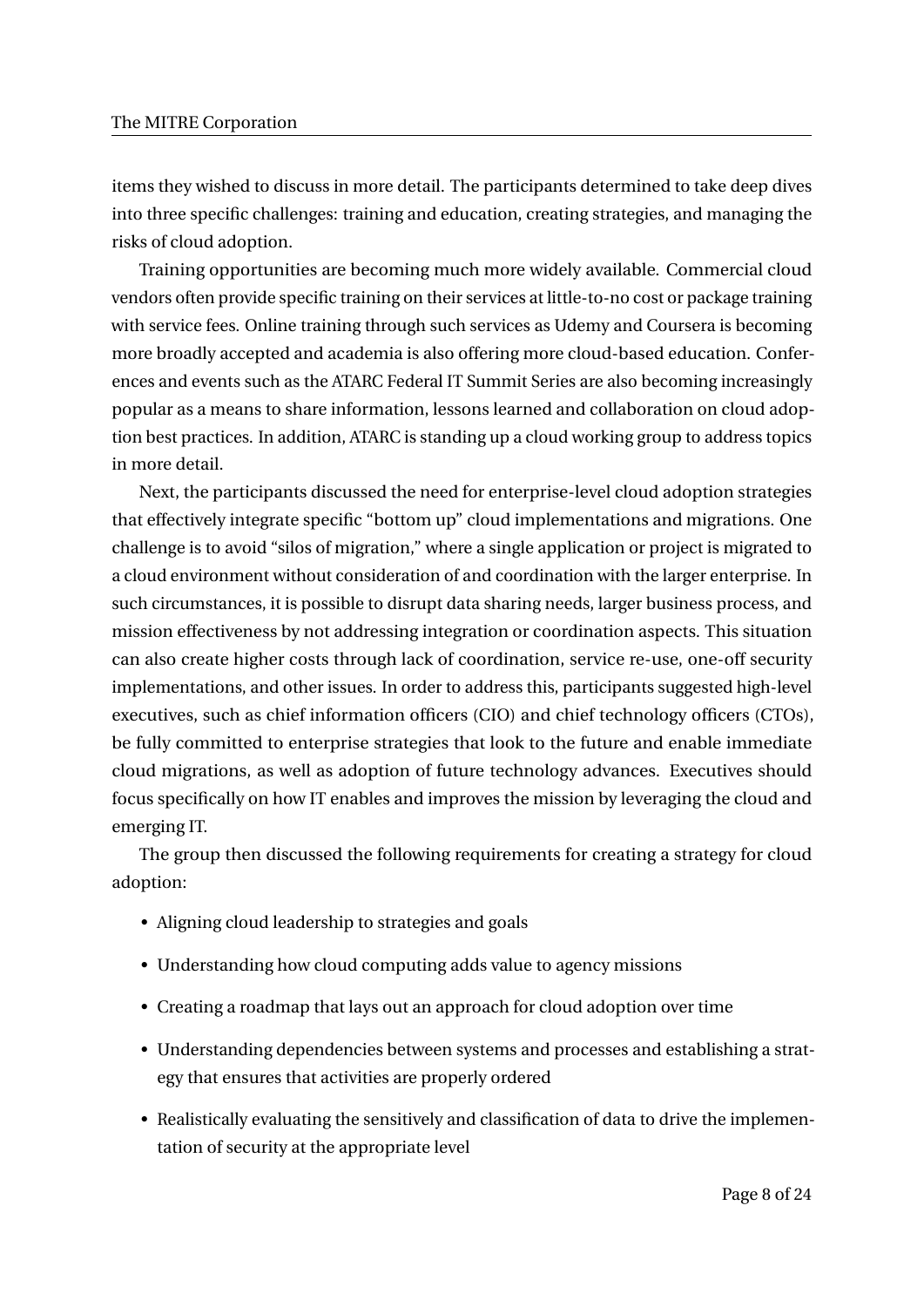items they wished to discuss in more detail. The participants determined to take deep dives into three specific challenges: training and education, creating strategies, and managing the risks of cloud adoption.

Training opportunities are becoming much more widely available. Commercial cloud vendors often provide specific training on their services at little-to-no cost or package training with service fees. Online training through such services as Udemy and Coursera is becoming more broadly accepted and academia is also offering more cloud-based education. Conferences and events such as the ATARC Federal IT Summit Series are also becoming increasingly popular as a means to share information, lessons learned and collaboration on cloud adoption best practices. In addition, ATARC is standing up a cloud working group to address topics in more detail.

Next, the participants discussed the need for enterprise-level cloud adoption strategies that effectively integrate specific "bottom up" cloud implementations and migrations. One challenge is to avoid "silos of migration," where a single application or project is migrated to a cloud environment without consideration of and coordination with the larger enterprise. In such circumstances, it is possible to disrupt data sharing needs, larger business process, and mission effectiveness by not addressing integration or coordination aspects. This situation can also create higher costs through lack of coordination, service re-use, one-off security implementations, and other issues. In order to address this, participants suggested high-level executives, such as chief information officers (CIO) and chief technology officers (CTOs), be fully committed to enterprise strategies that look to the future and enable immediate cloud migrations, as well as adoption of future technology advances. Executives should focus specifically on how IT enables and improves the mission by leveraging the cloud and emerging IT.

The group then discussed the following requirements for creating a strategy for cloud adoption:

- Aligning cloud leadership to strategies and goals
- Understanding how cloud computing adds value to agency missions
- Creating a roadmap that lays out an approach for cloud adoption over time
- Understanding dependencies between systems and processes and establishing a strategy that ensures that activities are properly ordered
- Realistically evaluating the sensitively and classification of data to drive the implementation of security at the appropriate level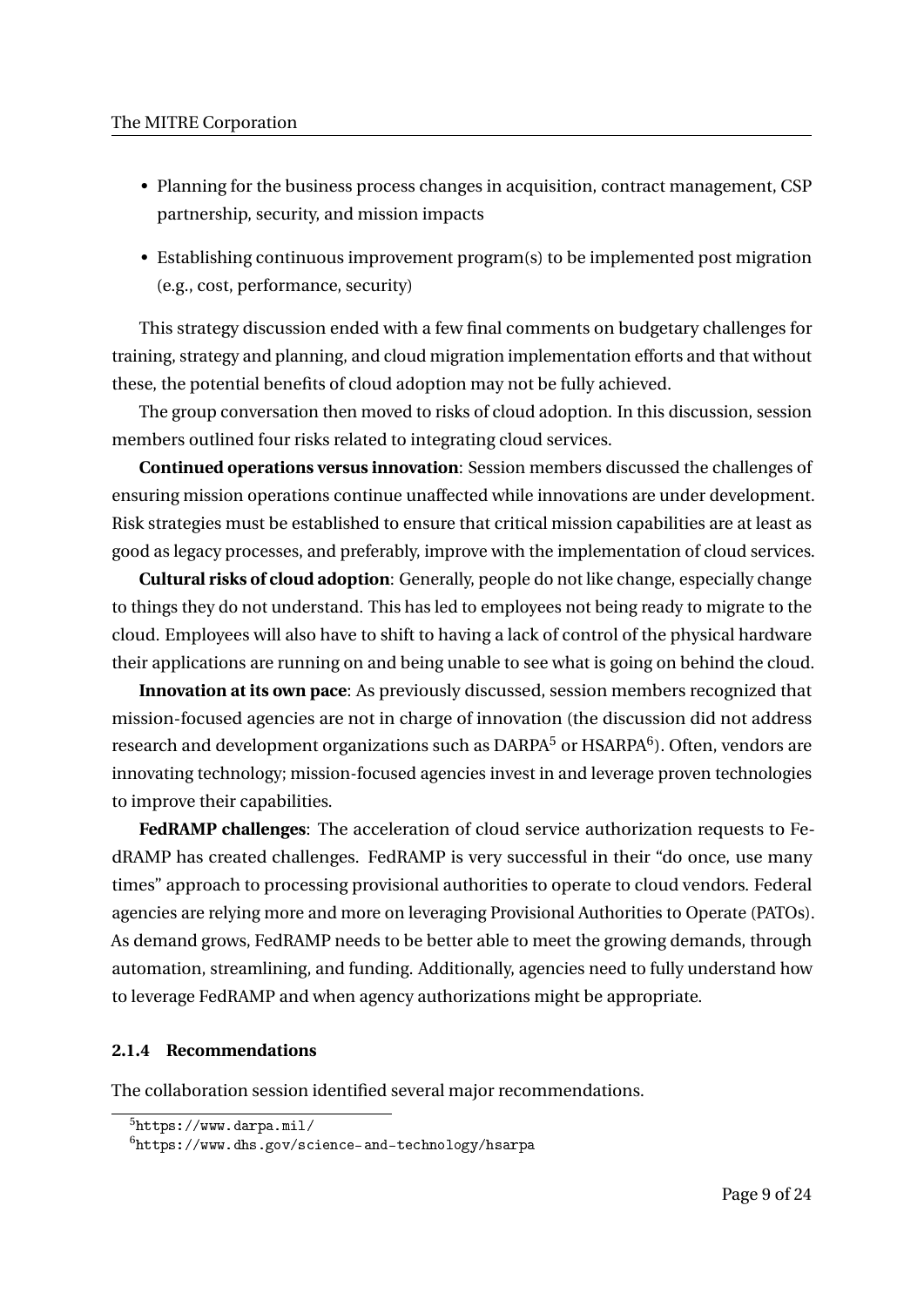- Planning for the business process changes in acquisition, contract management, CSP partnership, security, and mission impacts
- Establishing continuous improvement program(s) to be implemented post migration (e.g., cost, performance, security)

This strategy discussion ended with a few final comments on budgetary challenges for training, strategy and planning, and cloud migration implementation efforts and that without these, the potential benefits of cloud adoption may not be fully achieved.

The group conversation then moved to risks of cloud adoption. In this discussion, session members outlined four risks related to integrating cloud services.

**Continued operations versus innovation**: Session members discussed the challenges of ensuring mission operations continue unaffected while innovations are under development. Risk strategies must be established to ensure that critical mission capabilities are at least as good as legacy processes, and preferably, improve with the implementation of cloud services.

**Cultural risks of cloud adoption**: Generally, people do not like change, especially change to things they do not understand. This has led to employees not being ready to migrate to the cloud. Employees will also have to shift to having a lack of control of the physical hardware their applications are running on and being unable to see what is going on behind the cloud.

**Innovation at its own pace**: As previously discussed, session members recognized that mission-focused agencies are not in charge of innovation (the discussion did not address research and development organizations such as  $\mathrm{DARPA}^5$  or  $\mathrm{HSARPA}^6$ ). Often, vendors are innovating technology; mission-focused agencies invest in and leverage proven technologies to improve their capabilities.

**FedRAMP challenges**: The acceleration of cloud service authorization requests to FedRAMP has created challenges. FedRAMP is very successful in their "do once, use many times" approach to processing provisional authorities to operate to cloud vendors. Federal agencies are relying more and more on leveraging Provisional Authorities to Operate (PATOs). As demand grows, FedRAMP needs to be better able to meet the growing demands, through automation, streamlining, and funding. Additionally, agencies need to fully understand how to leverage FedRAMP and when agency authorizations might be appropriate.

## **2.1.4 Recommendations**

The collaboration session identified several major recommendations.

<sup>5</sup>https://www.darpa.mil/

<sup>6</sup>https://www.dhs.gov/science-and-technology/hsarpa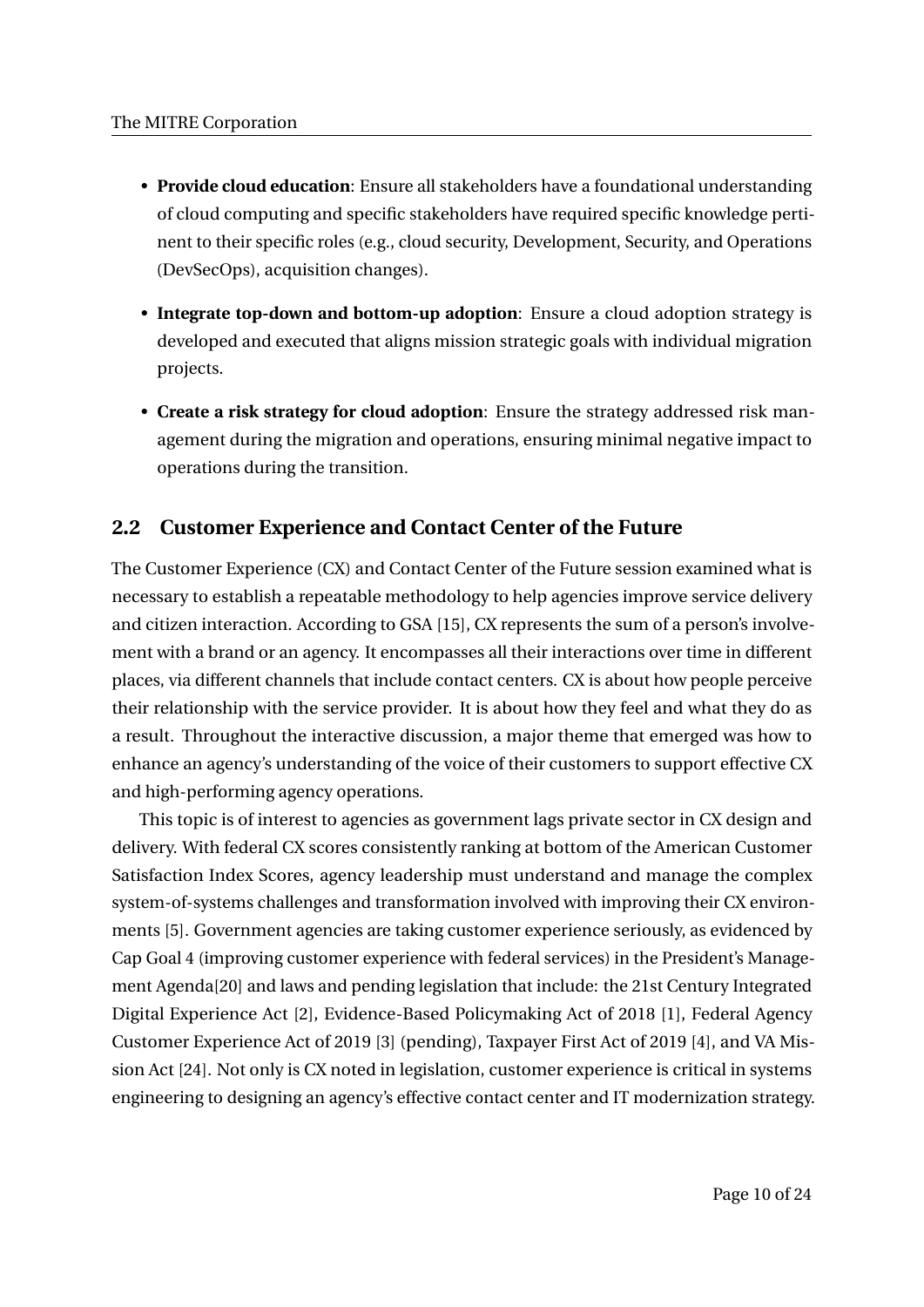- **Provide cloud education**: Ensure all stakeholders have a foundational understanding of cloud computing and specific stakeholders have required specific knowledge pertinent to their specific roles (e.g., cloud security, Development, Security, and Operations (DevSecOps), acquisition changes).
- **Integrate top-down and bottom-up adoption**: Ensure a cloud adoption strategy is developed and executed that aligns mission strategic goals with individual migration projects.
- **Create a risk strategy for cloud adoption**: Ensure the strategy addressed risk management during the migration and operations, ensuring minimal negative impact to operations during the transition.

# **2.2 Customer Experience and Contact Center of the Future**

The Customer Experience (CX) and Contact Center of the Future session examined what is necessary to establish a repeatable methodology to help agencies improve service delivery and citizen interaction. According to GSA [15], CX represents the sum of a person's involvement with a brand or an agency. It encompasses all their interactions over time in different places, via different channels that include contact centers. CX is about how people perceive their relationship with the service provider. It is about how they feel and what they do as a result. Throughout the interactive discussion, a major theme that emerged was how to enhance an agency's understanding of the voice of their customers to support effective CX and high-performing agency operations.

This topic is of interest to agencies as government lags private sector in CX design and delivery. With federal CX scores consistently ranking at bottom of the American Customer Satisfaction Index Scores, agency leadership must understand and manage the complex system-of-systems challenges and transformation involved with improving their CX environments [5]. Government agencies are taking customer experience seriously, as evidenced by Cap Goal 4 (improving customer experience with federal services) in the President's Management Agenda[20] and laws and pending legislation that include: the 21st Century Integrated Digital Experience Act [2], Evidence-Based Policymaking Act of 2018 [1], Federal Agency Customer Experience Act of 2019 [3] (pending), Taxpayer First Act of 2019 [4], and VA Mission Act [24]. Not only is CX noted in legislation, customer experience is critical in systems engineering to designing an agency's effective contact center and IT modernization strategy.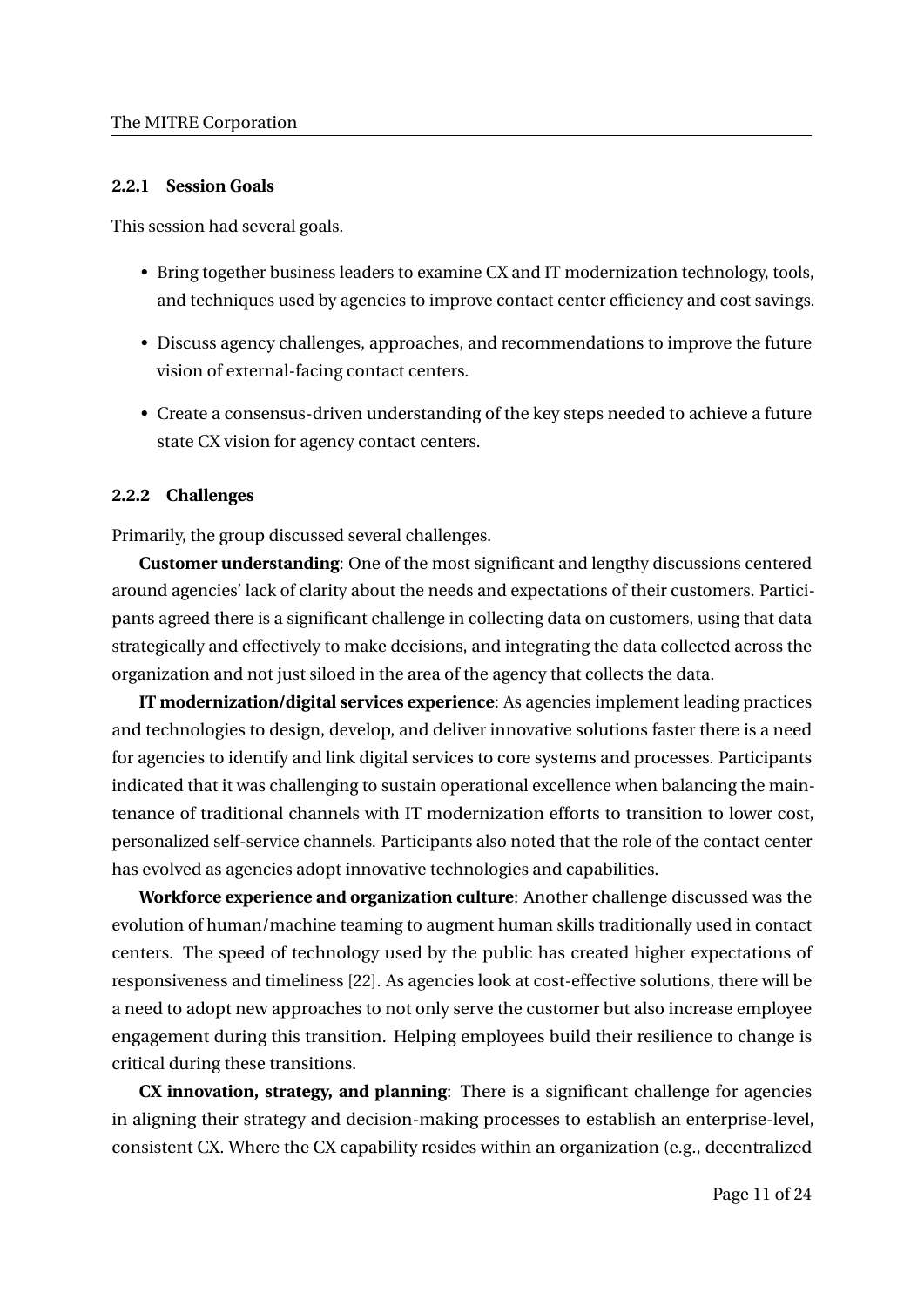## **2.2.1 Session Goals**

This session had several goals.

- Bring together business leaders to examine CX and IT modernization technology, tools, and techniques used by agencies to improve contact center efficiency and cost savings.
- Discuss agency challenges, approaches, and recommendations to improve the future vision of external-facing contact centers.
- Create a consensus-driven understanding of the key steps needed to achieve a future state CX vision for agency contact centers.

# **2.2.2 Challenges**

Primarily, the group discussed several challenges.

**Customer understanding**: One of the most significant and lengthy discussions centered around agencies' lack of clarity about the needs and expectations of their customers. Participants agreed there is a significant challenge in collecting data on customers, using that data strategically and effectively to make decisions, and integrating the data collected across the organization and not just siloed in the area of the agency that collects the data.

**IT modernization/digital services experience**: As agencies implement leading practices and technologies to design, develop, and deliver innovative solutions faster there is a need for agencies to identify and link digital services to core systems and processes. Participants indicated that it was challenging to sustain operational excellence when balancing the maintenance of traditional channels with IT modernization efforts to transition to lower cost, personalized self-service channels. Participants also noted that the role of the contact center has evolved as agencies adopt innovative technologies and capabilities.

**Workforce experience and organization culture**: Another challenge discussed was the evolution of human/machine teaming to augment human skills traditionally used in contact centers. The speed of technology used by the public has created higher expectations of responsiveness and timeliness [22]. As agencies look at cost-effective solutions, there will be a need to adopt new approaches to not only serve the customer but also increase employee engagement during this transition. Helping employees build their resilience to change is critical during these transitions.

**CX innovation, strategy, and planning**: There is a significant challenge for agencies in aligning their strategy and decision-making processes to establish an enterprise-level, consistent CX. Where the CX capability resides within an organization (e.g., decentralized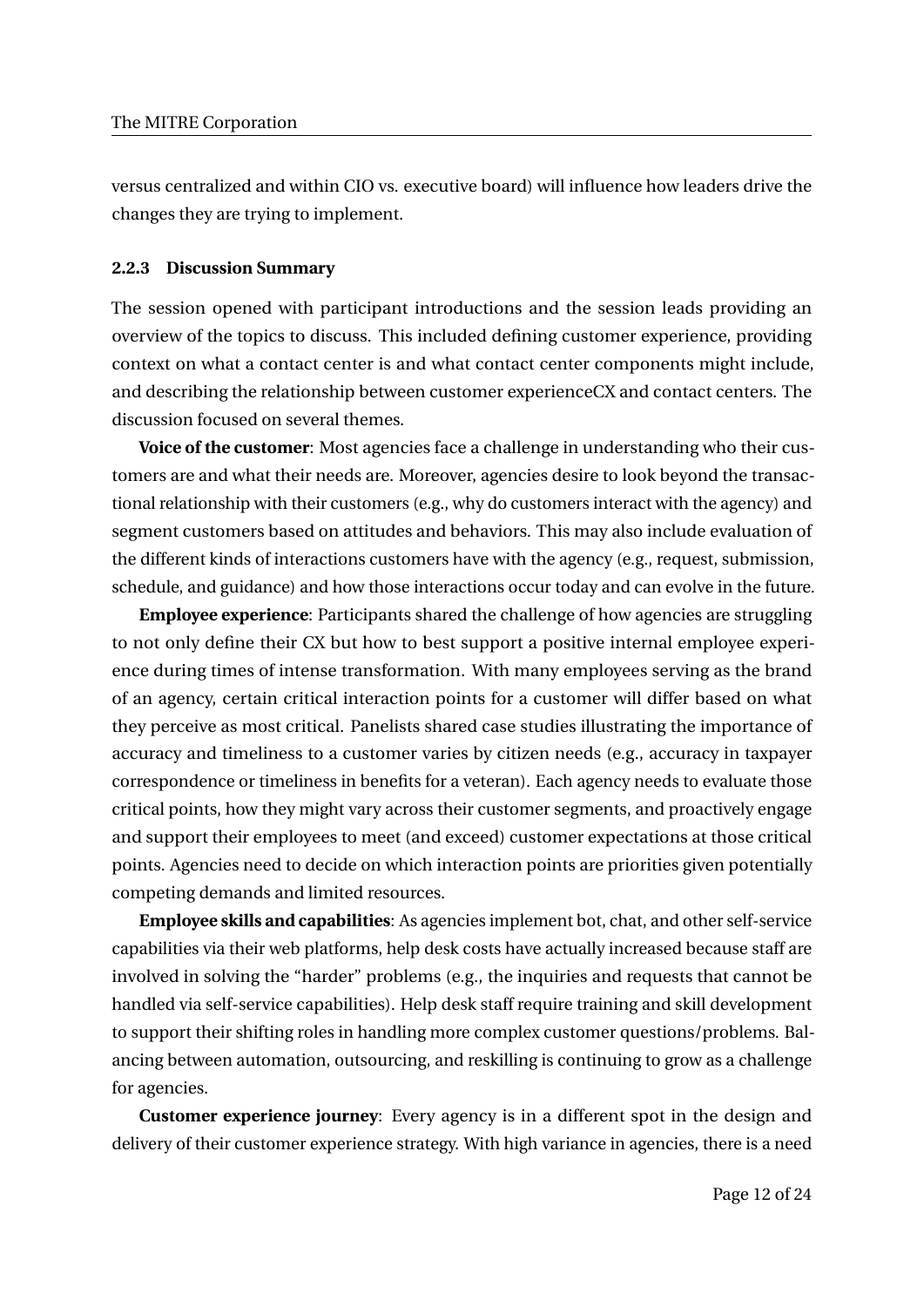versus centralized and within CIO vs. executive board) will influence how leaders drive the changes they are trying to implement.

## **2.2.3 Discussion Summary**

The session opened with participant introductions and the session leads providing an overview of the topics to discuss. This included defining customer experience, providing context on what a contact center is and what contact center components might include, and describing the relationship between customer experienceCX and contact centers. The discussion focused on several themes.

**Voice of the customer**: Most agencies face a challenge in understanding who their customers are and what their needs are. Moreover, agencies desire to look beyond the transactional relationship with their customers (e.g., why do customers interact with the agency) and segment customers based on attitudes and behaviors. This may also include evaluation of the different kinds of interactions customers have with the agency (e.g., request, submission, schedule, and guidance) and how those interactions occur today and can evolve in the future.

**Employee experience**: Participants shared the challenge of how agencies are struggling to not only define their CX but how to best support a positive internal employee experience during times of intense transformation. With many employees serving as the brand of an agency, certain critical interaction points for a customer will differ based on what they perceive as most critical. Panelists shared case studies illustrating the importance of accuracy and timeliness to a customer varies by citizen needs (e.g., accuracy in taxpayer correspondence or timeliness in benefits for a veteran). Each agency needs to evaluate those critical points, how they might vary across their customer segments, and proactively engage and support their employees to meet (and exceed) customer expectations at those critical points. Agencies need to decide on which interaction points are priorities given potentially competing demands and limited resources.

**Employee skills and capabilities**: As agencies implement bot, chat, and other self-service capabilities via their web platforms, help desk costs have actually increased because staff are involved in solving the "harder" problems (e.g., the inquiries and requests that cannot be handled via self-service capabilities). Help desk staff require training and skill development to support their shifting roles in handling more complex customer questions/problems. Balancing between automation, outsourcing, and reskilling is continuing to grow as a challenge for agencies.

**Customer experience journey**: Every agency is in a different spot in the design and delivery of their customer experience strategy. With high variance in agencies, there is a need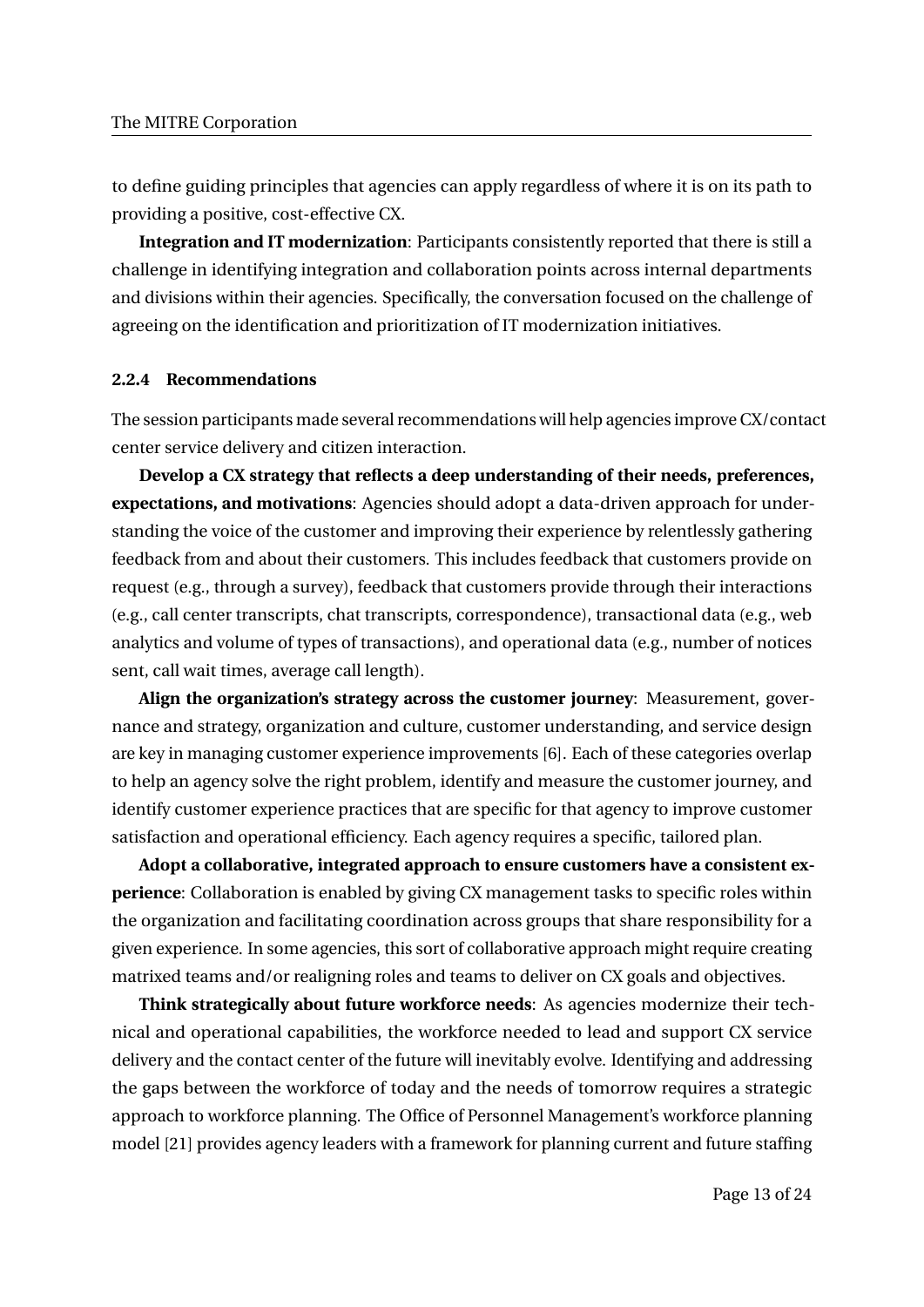to define guiding principles that agencies can apply regardless of where it is on its path to providing a positive, cost-effective CX.

**Integration and IT modernization**: Participants consistently reported that there is still a challenge in identifying integration and collaboration points across internal departments and divisions within their agencies. Specifically, the conversation focused on the challenge of agreeing on the identification and prioritization of IT modernization initiatives.

# **2.2.4 Recommendations**

The session participants made several recommendations will help agencies improve CX/contact center service delivery and citizen interaction.

**Develop a CX strategy that reflects a deep understanding of their needs, preferences, expectations, and motivations**: Agencies should adopt a data-driven approach for understanding the voice of the customer and improving their experience by relentlessly gathering feedback from and about their customers. This includes feedback that customers provide on request (e.g., through a survey), feedback that customers provide through their interactions (e.g., call center transcripts, chat transcripts, correspondence), transactional data (e.g., web analytics and volume of types of transactions), and operational data (e.g., number of notices sent, call wait times, average call length).

**Align the organization's strategy across the customer journey**: Measurement, governance and strategy, organization and culture, customer understanding, and service design are key in managing customer experience improvements [6]. Each of these categories overlap to help an agency solve the right problem, identify and measure the customer journey, and identify customer experience practices that are specific for that agency to improve customer satisfaction and operational efficiency. Each agency requires a specific, tailored plan.

**Adopt a collaborative, integrated approach to ensure customers have a consistent experience**: Collaboration is enabled by giving CX management tasks to specific roles within the organization and facilitating coordination across groups that share responsibility for a given experience. In some agencies, this sort of collaborative approach might require creating matrixed teams and/or realigning roles and teams to deliver on CX goals and objectives.

**Think strategically about future workforce needs**: As agencies modernize their technical and operational capabilities, the workforce needed to lead and support CX service delivery and the contact center of the future will inevitably evolve. Identifying and addressing the gaps between the workforce of today and the needs of tomorrow requires a strategic approach to workforce planning. The Office of Personnel Management's workforce planning model [21] provides agency leaders with a framework for planning current and future staffing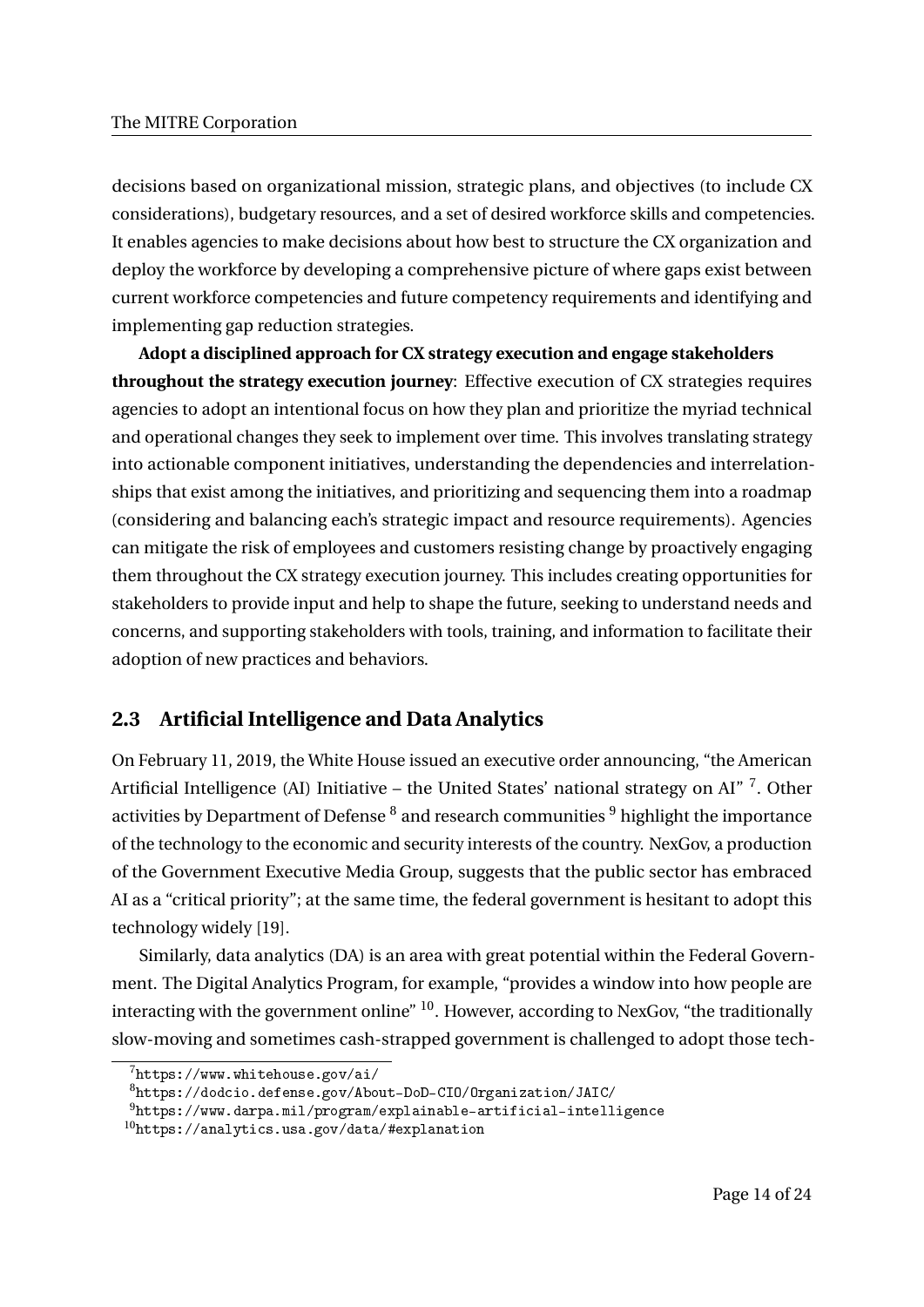decisions based on organizational mission, strategic plans, and objectives (to include CX considerations), budgetary resources, and a set of desired workforce skills and competencies. It enables agencies to make decisions about how best to structure the CX organization and deploy the workforce by developing a comprehensive picture of where gaps exist between current workforce competencies and future competency requirements and identifying and implementing gap reduction strategies.

**Adopt a disciplined approach for CX strategy execution and engage stakeholders throughout the strategy execution journey**: Effective execution of CX strategies requires agencies to adopt an intentional focus on how they plan and prioritize the myriad technical and operational changes they seek to implement over time. This involves translating strategy into actionable component initiatives, understanding the dependencies and interrelationships that exist among the initiatives, and prioritizing and sequencing them into a roadmap (considering and balancing each's strategic impact and resource requirements). Agencies can mitigate the risk of employees and customers resisting change by proactively engaging them throughout the CX strategy execution journey. This includes creating opportunities for stakeholders to provide input and help to shape the future, seeking to understand needs and concerns, and supporting stakeholders with tools, training, and information to facilitate their adoption of new practices and behaviors.

# **2.3 Artificial Intelligence and Data Analytics**

On February 11, 2019, the White House issued an executive order announcing, "the American Artificial Intelligence (AI) Initiative – the United States' national strategy on AI"<sup>7</sup>. Other activities by Department of Defense  $^8$  and research communities  $^9$  highlight the importance of the technology to the economic and security interests of the country. NexGov, a production of the Government Executive Media Group, suggests that the public sector has embraced AI as a "critical priority"; at the same time, the federal government is hesitant to adopt this technology widely [19].

Similarly, data analytics (DA) is an area with great potential within the Federal Government. The Digital Analytics Program, for example, "provides a window into how people are interacting with the government online" <sup>10</sup>. However, according to NexGov, "the traditionally slow-moving and sometimes cash-strapped government is challenged to adopt those tech-

<sup>7</sup>https://www.whitehouse.gov/ai/

<sup>8</sup>https://dodcio.defense.gov/About-DoD-CIO/Organization/JAIC/

<sup>9</sup>https://www.darpa.mil/program/explainable-artificial-intelligence

<sup>10</sup>https://analytics.usa.gov/data/#explanation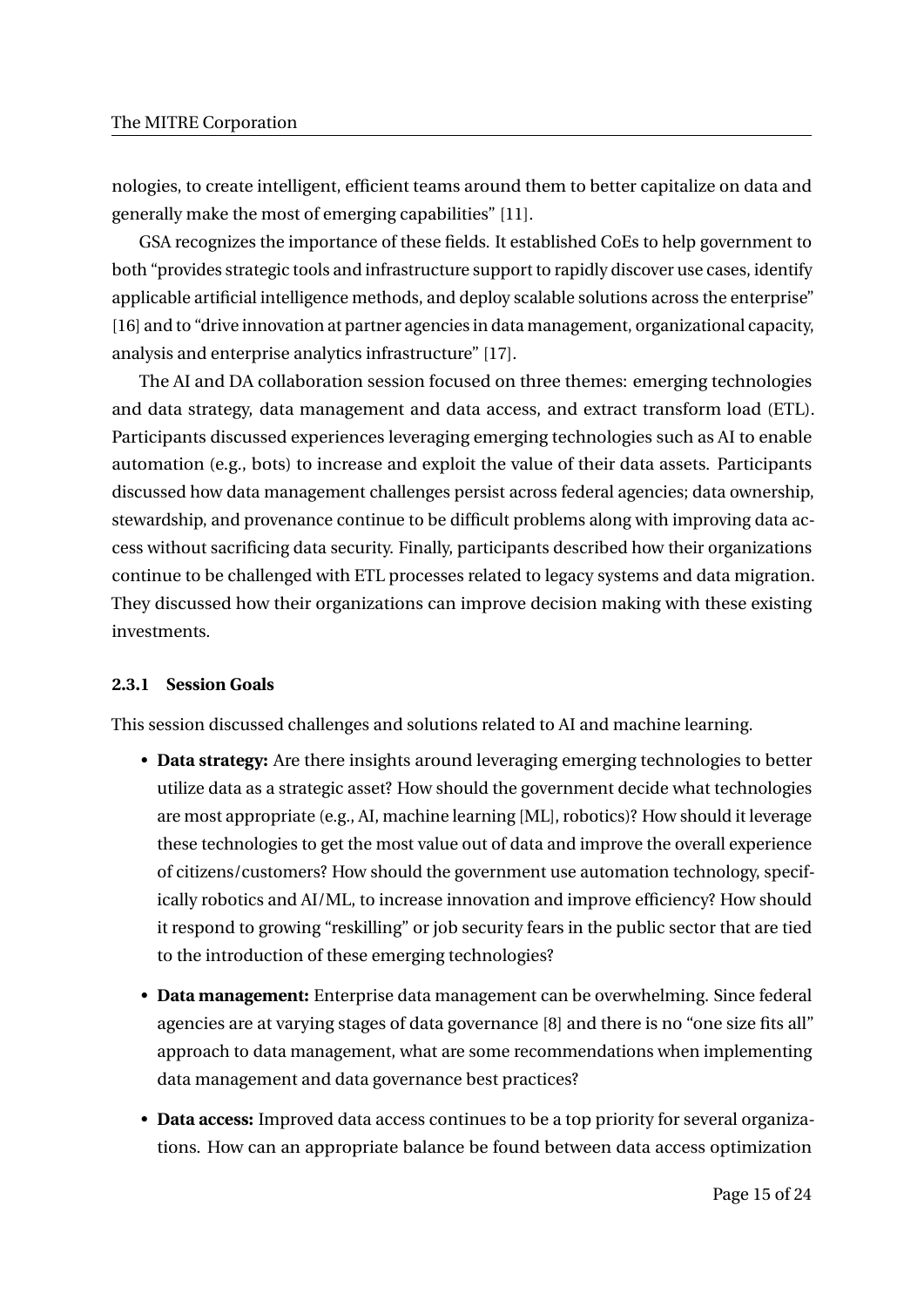nologies, to create intelligent, efficient teams around them to better capitalize on data and generally make the most of emerging capabilities" [11].

GSA recognizes the importance of these fields. It established CoEs to help government to both "provides strategic tools and infrastructure support to rapidly discover use cases, identify applicable artificial intelligence methods, and deploy scalable solutions across the enterprise" [16] and to "drive innovation at partner agencies in data management, organizational capacity, analysis and enterprise analytics infrastructure" [17].

The AI and DA collaboration session focused on three themes: emerging technologies and data strategy, data management and data access, and extract transform load (ETL). Participants discussed experiences leveraging emerging technologies such as AI to enable automation (e.g., bots) to increase and exploit the value of their data assets. Participants discussed how data management challenges persist across federal agencies; data ownership, stewardship, and provenance continue to be difficult problems along with improving data access without sacrificing data security. Finally, participants described how their organizations continue to be challenged with ETL processes related to legacy systems and data migration. They discussed how their organizations can improve decision making with these existing investments.

## **2.3.1 Session Goals**

This session discussed challenges and solutions related to AI and machine learning.

- **Data strategy:** Are there insights around leveraging emerging technologies to better utilize data as a strategic asset? How should the government decide what technologies are most appropriate (e.g., AI, machine learning [ML], robotics)? How should it leverage these technologies to get the most value out of data and improve the overall experience of citizens/customers? How should the government use automation technology, specifically robotics and AI/ML, to increase innovation and improve efficiency? How should it respond to growing "reskilling" or job security fears in the public sector that are tied to the introduction of these emerging technologies?
- **Data management:** Enterprise data management can be overwhelming. Since federal agencies are at varying stages of data governance [8] and there is no "one size fits all" approach to data management, what are some recommendations when implementing data management and data governance best practices?
- **Data access:** Improved data access continues to be a top priority for several organizations. How can an appropriate balance be found between data access optimization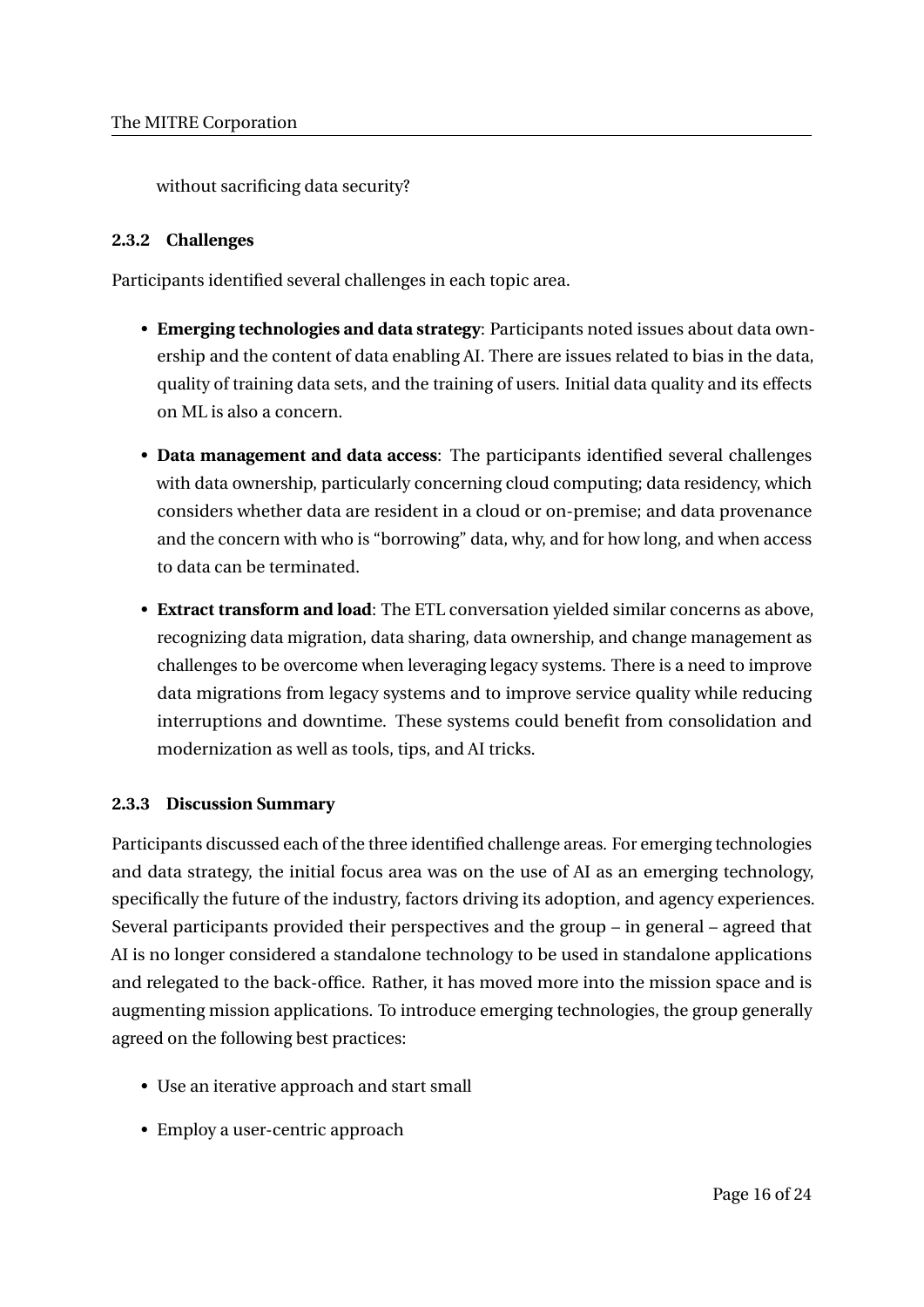without sacrificing data security?

# **2.3.2 Challenges**

Participants identified several challenges in each topic area.

- **Emerging technologies and data strategy**: Participants noted issues about data ownership and the content of data enabling AI. There are issues related to bias in the data, quality of training data sets, and the training of users. Initial data quality and its effects on ML is also a concern.
- **Data management and data access**: The participants identified several challenges with data ownership, particularly concerning cloud computing; data residency, which considers whether data are resident in a cloud or on-premise; and data provenance and the concern with who is "borrowing" data, why, and for how long, and when access to data can be terminated.
- **Extract transform and load**: The ETL conversation yielded similar concerns as above, recognizing data migration, data sharing, data ownership, and change management as challenges to be overcome when leveraging legacy systems. There is a need to improve data migrations from legacy systems and to improve service quality while reducing interruptions and downtime. These systems could benefit from consolidation and modernization as well as tools, tips, and AI tricks.

# **2.3.3 Discussion Summary**

Participants discussed each of the three identified challenge areas. For emerging technologies and data strategy, the initial focus area was on the use of AI as an emerging technology, specifically the future of the industry, factors driving its adoption, and agency experiences. Several participants provided their perspectives and the group – in general – agreed that AI is no longer considered a standalone technology to be used in standalone applications and relegated to the back-office. Rather, it has moved more into the mission space and is augmenting mission applications. To introduce emerging technologies, the group generally agreed on the following best practices:

- Use an iterative approach and start small
- Employ a user-centric approach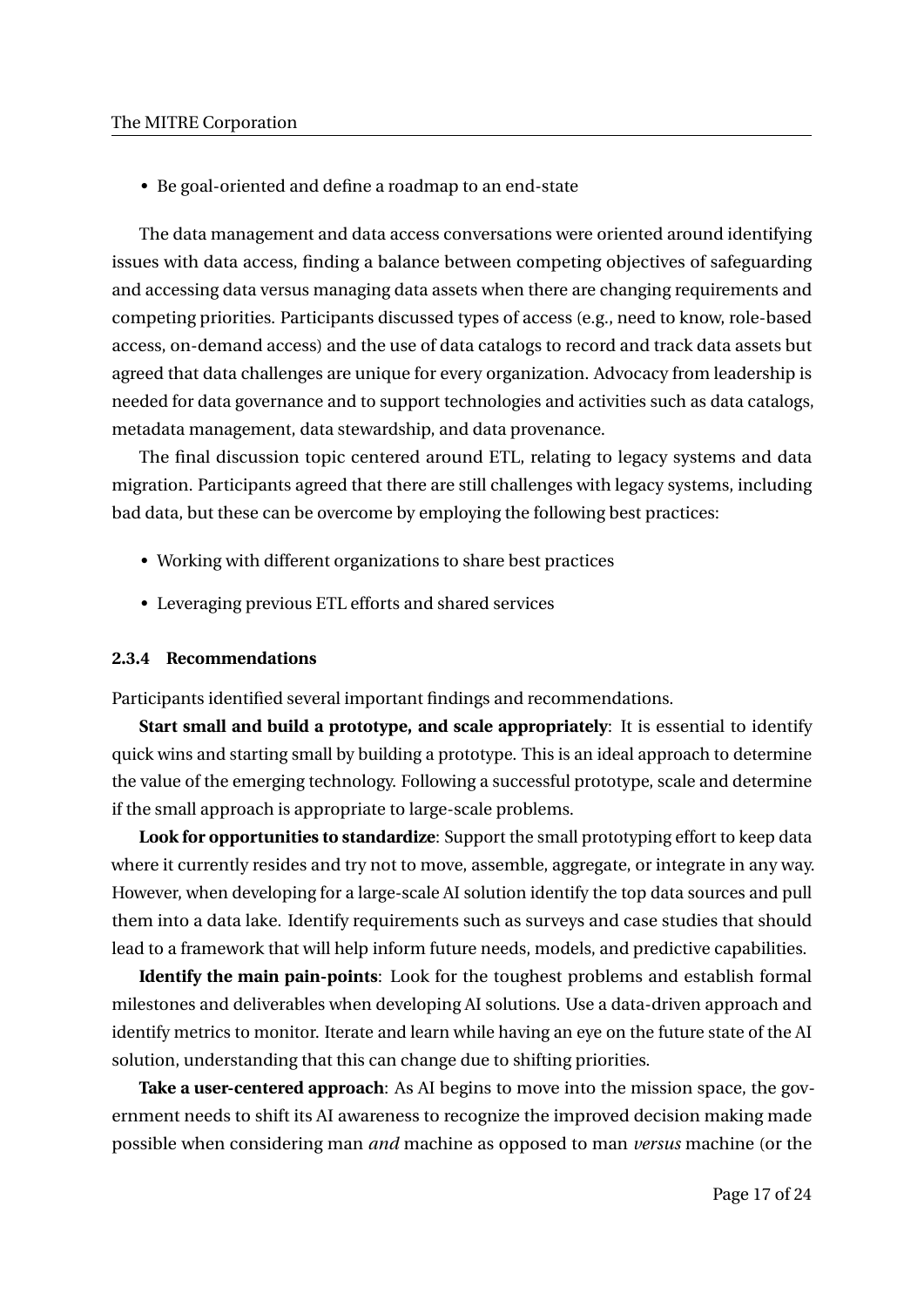• Be goal-oriented and define a roadmap to an end-state

The data management and data access conversations were oriented around identifying issues with data access, finding a balance between competing objectives of safeguarding and accessing data versus managing data assets when there are changing requirements and competing priorities. Participants discussed types of access (e.g., need to know, role-based access, on-demand access) and the use of data catalogs to record and track data assets but agreed that data challenges are unique for every organization. Advocacy from leadership is needed for data governance and to support technologies and activities such as data catalogs, metadata management, data stewardship, and data provenance.

The final discussion topic centered around ETL, relating to legacy systems and data migration. Participants agreed that there are still challenges with legacy systems, including bad data, but these can be overcome by employing the following best practices:

- Working with different organizations to share best practices
- Leveraging previous ETL efforts and shared services

## **2.3.4 Recommendations**

Participants identified several important findings and recommendations.

**Start small and build a prototype, and scale appropriately**: It is essential to identify quick wins and starting small by building a prototype. This is an ideal approach to determine the value of the emerging technology. Following a successful prototype, scale and determine if the small approach is appropriate to large-scale problems.

**Look for opportunities to standardize**: Support the small prototyping effort to keep data where it currently resides and try not to move, assemble, aggregate, or integrate in any way. However, when developing for a large-scale AI solution identify the top data sources and pull them into a data lake. Identify requirements such as surveys and case studies that should lead to a framework that will help inform future needs, models, and predictive capabilities.

**Identify the main pain-points**: Look for the toughest problems and establish formal milestones and deliverables when developing AI solutions. Use a data-driven approach and identify metrics to monitor. Iterate and learn while having an eye on the future state of the AI solution, understanding that this can change due to shifting priorities.

**Take a user-centered approach**: As AI begins to move into the mission space, the government needs to shift its AI awareness to recognize the improved decision making made possible when considering man *and* machine as opposed to man *versus* machine (or the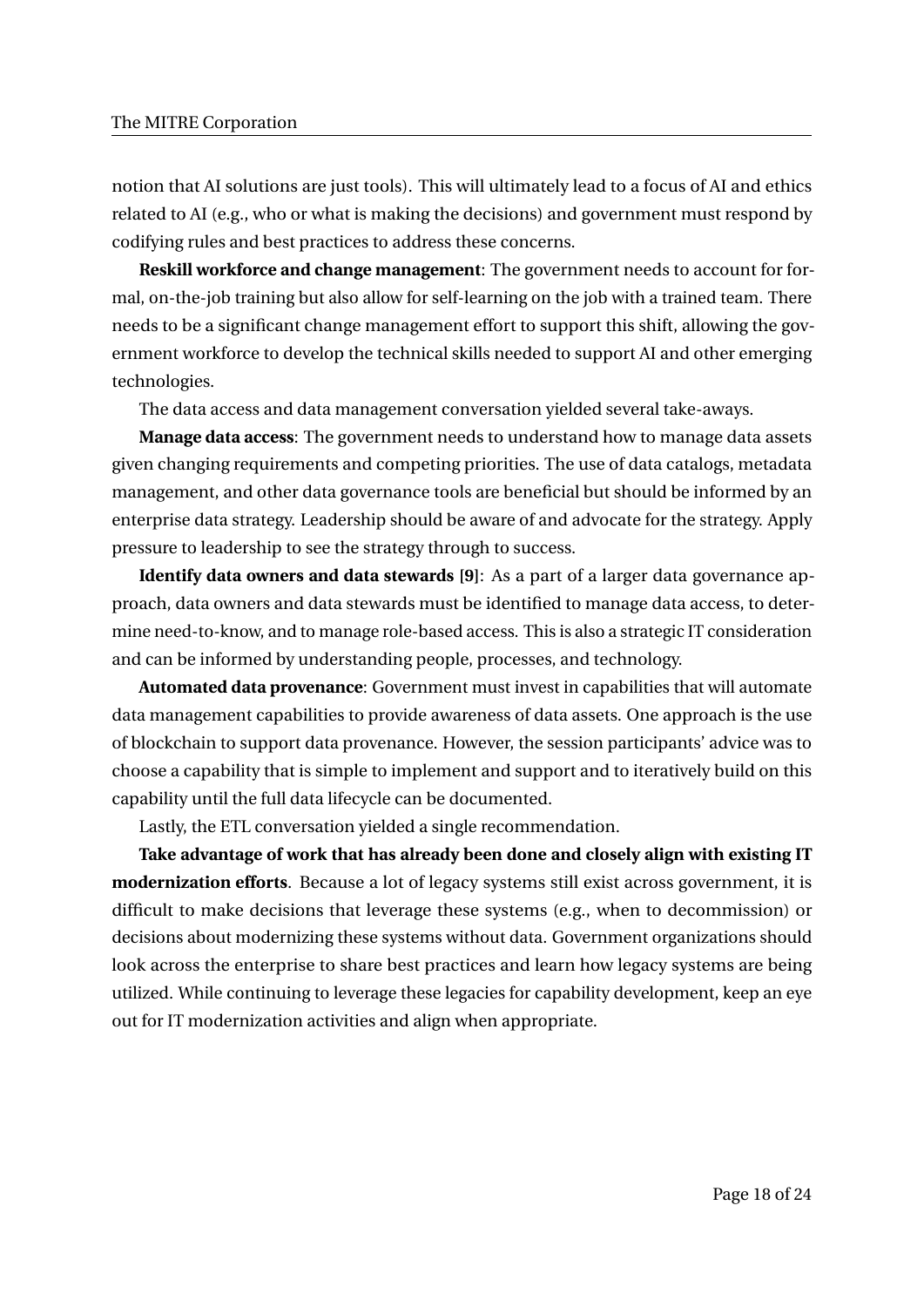notion that AI solutions are just tools). This will ultimately lead to a focus of AI and ethics related to AI (e.g., who or what is making the decisions) and government must respond by codifying rules and best practices to address these concerns.

**Reskill workforce and change management**: The government needs to account for formal, on-the-job training but also allow for self-learning on the job with a trained team. There needs to be a significant change management effort to support this shift, allowing the government workforce to develop the technical skills needed to support AI and other emerging technologies.

The data access and data management conversation yielded several take-aways.

**Manage data access**: The government needs to understand how to manage data assets given changing requirements and competing priorities. The use of data catalogs, metadata management, and other data governance tools are beneficial but should be informed by an enterprise data strategy. Leadership should be aware of and advocate for the strategy. Apply pressure to leadership to see the strategy through to success.

**Identify data owners and data stewards [9]**: As a part of a larger data governance approach, data owners and data stewards must be identified to manage data access, to determine need-to-know, and to manage role-based access. This is also a strategic IT consideration and can be informed by understanding people, processes, and technology.

**Automated data provenance**: Government must invest in capabilities that will automate data management capabilities to provide awareness of data assets. One approach is the use of blockchain to support data provenance. However, the session participants' advice was to choose a capability that is simple to implement and support and to iteratively build on this capability until the full data lifecycle can be documented.

Lastly, the ETL conversation yielded a single recommendation.

**Take advantage of work that has already been done and closely align with existing IT modernization efforts**. Because a lot of legacy systems still exist across government, it is difficult to make decisions that leverage these systems (e.g., when to decommission) or decisions about modernizing these systems without data. Government organizations should look across the enterprise to share best practices and learn how legacy systems are being utilized. While continuing to leverage these legacies for capability development, keep an eye out for IT modernization activities and align when appropriate.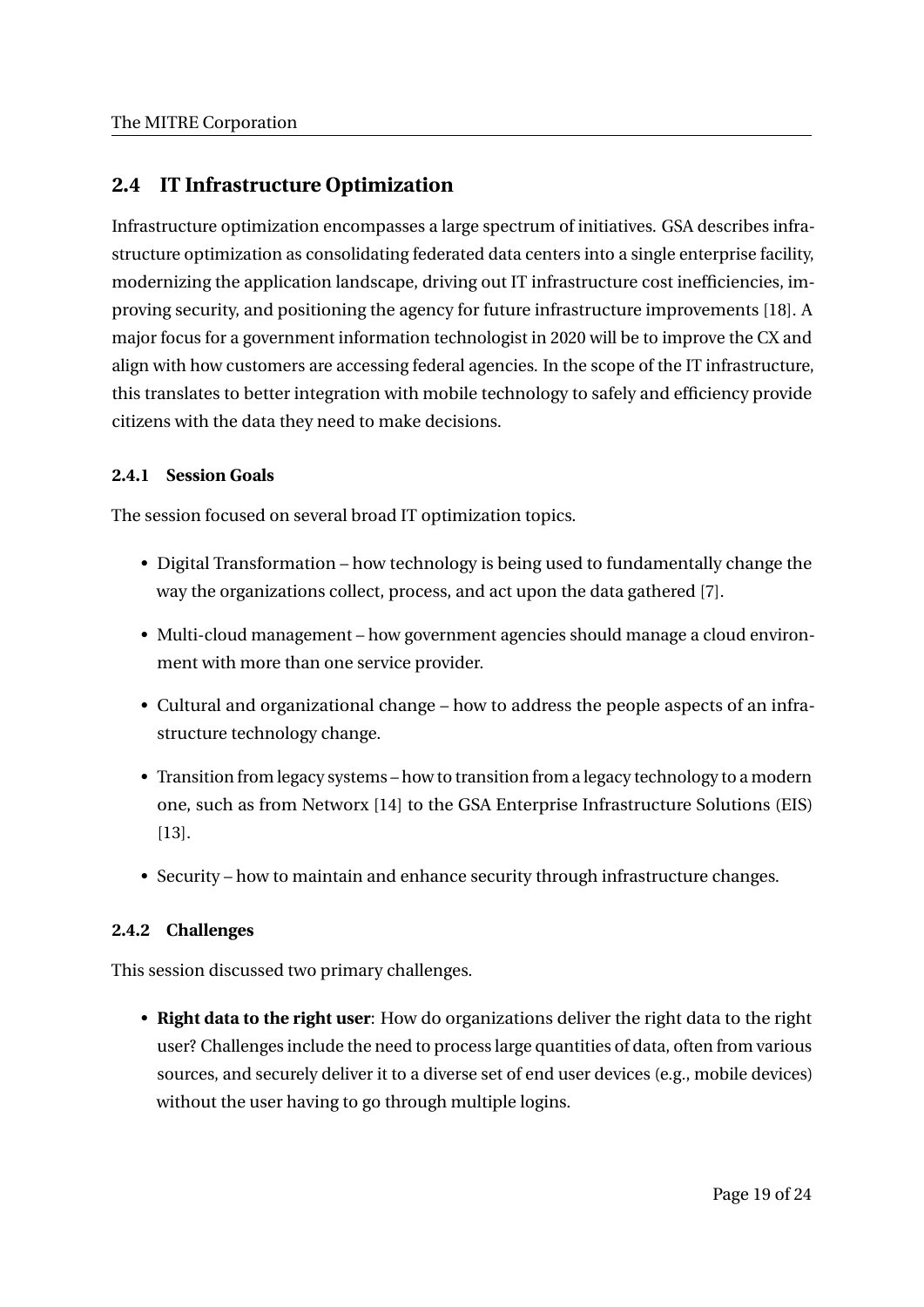# **2.4 IT Infrastructure Optimization**

Infrastructure optimization encompasses a large spectrum of initiatives. GSA describes infrastructure optimization as consolidating federated data centers into a single enterprise facility, modernizing the application landscape, driving out IT infrastructure cost inefficiencies, improving security, and positioning the agency for future infrastructure improvements [18]. A major focus for a government information technologist in 2020 will be to improve the CX and align with how customers are accessing federal agencies. In the scope of the IT infrastructure, this translates to better integration with mobile technology to safely and efficiency provide citizens with the data they need to make decisions.

# **2.4.1 Session Goals**

The session focused on several broad IT optimization topics.

- Digital Transformation how technology is being used to fundamentally change the way the organizations collect, process, and act upon the data gathered [7].
- Multi-cloud management how government agencies should manage a cloud environment with more than one service provider.
- Cultural and organizational change how to address the people aspects of an infrastructure technology change.
- Transition from legacy systems how to transition from a legacy technology to a modern one, such as from Networx [14] to the GSA Enterprise Infrastructure Solutions (EIS) [13].
- Security how to maintain and enhance security through infrastructure changes.

# **2.4.2 Challenges**

This session discussed two primary challenges.

• **Right data to the right user**: How do organizations deliver the right data to the right user? Challenges include the need to process large quantities of data, often from various sources, and securely deliver it to a diverse set of end user devices (e.g., mobile devices) without the user having to go through multiple logins.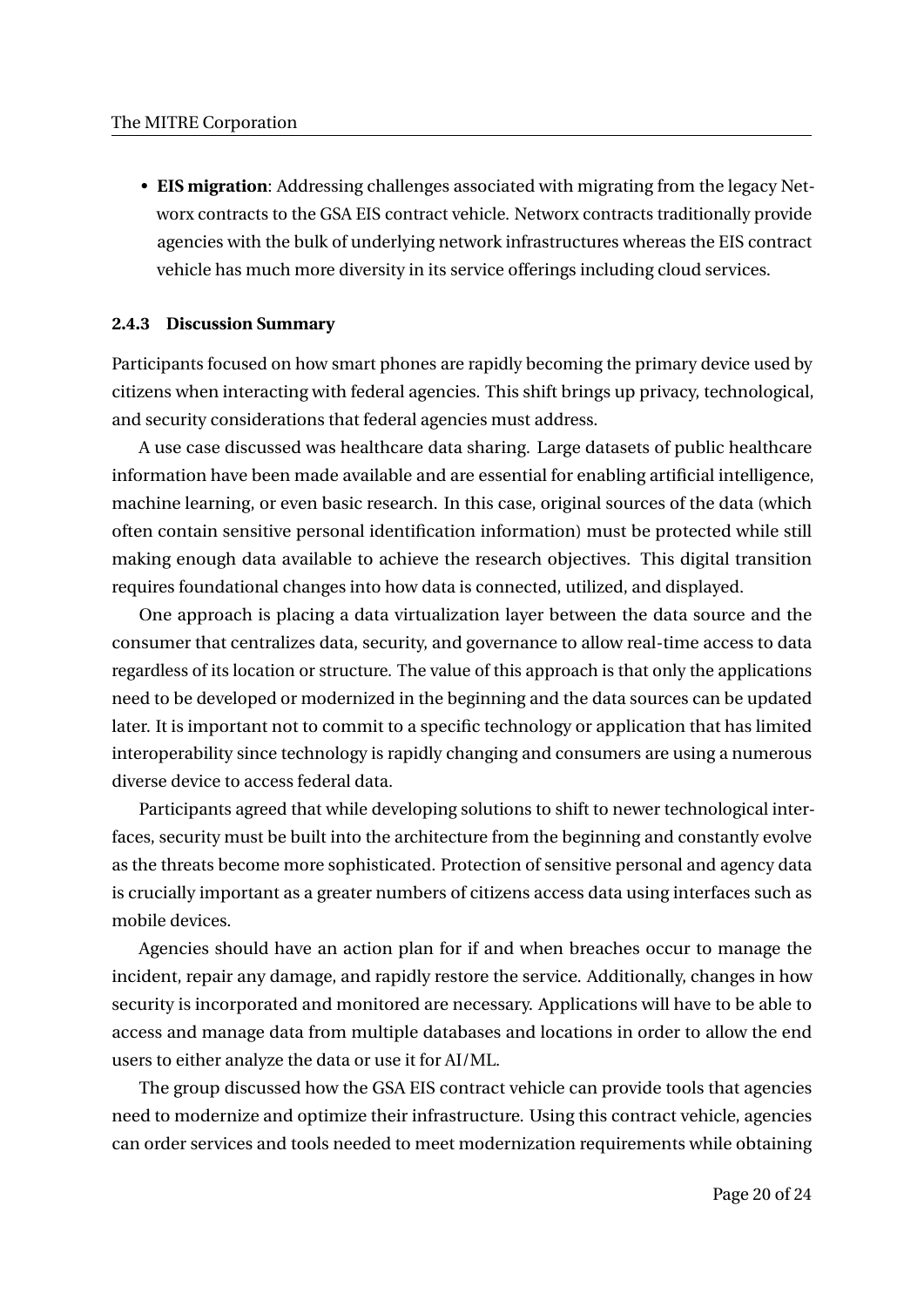• **EIS migration**: Addressing challenges associated with migrating from the legacy Networx contracts to the GSA EIS contract vehicle. Networx contracts traditionally provide agencies with the bulk of underlying network infrastructures whereas the EIS contract vehicle has much more diversity in its service offerings including cloud services.

# **2.4.3 Discussion Summary**

Participants focused on how smart phones are rapidly becoming the primary device used by citizens when interacting with federal agencies. This shift brings up privacy, technological, and security considerations that federal agencies must address.

A use case discussed was healthcare data sharing. Large datasets of public healthcare information have been made available and are essential for enabling artificial intelligence, machine learning, or even basic research. In this case, original sources of the data (which often contain sensitive personal identification information) must be protected while still making enough data available to achieve the research objectives. This digital transition requires foundational changes into how data is connected, utilized, and displayed.

One approach is placing a data virtualization layer between the data source and the consumer that centralizes data, security, and governance to allow real-time access to data regardless of its location or structure. The value of this approach is that only the applications need to be developed or modernized in the beginning and the data sources can be updated later. It is important not to commit to a specific technology or application that has limited interoperability since technology is rapidly changing and consumers are using a numerous diverse device to access federal data.

Participants agreed that while developing solutions to shift to newer technological interfaces, security must be built into the architecture from the beginning and constantly evolve as the threats become more sophisticated. Protection of sensitive personal and agency data is crucially important as a greater numbers of citizens access data using interfaces such as mobile devices.

Agencies should have an action plan for if and when breaches occur to manage the incident, repair any damage, and rapidly restore the service. Additionally, changes in how security is incorporated and monitored are necessary. Applications will have to be able to access and manage data from multiple databases and locations in order to allow the end users to either analyze the data or use it for AI/ML.

The group discussed how the GSA EIS contract vehicle can provide tools that agencies need to modernize and optimize their infrastructure. Using this contract vehicle, agencies can order services and tools needed to meet modernization requirements while obtaining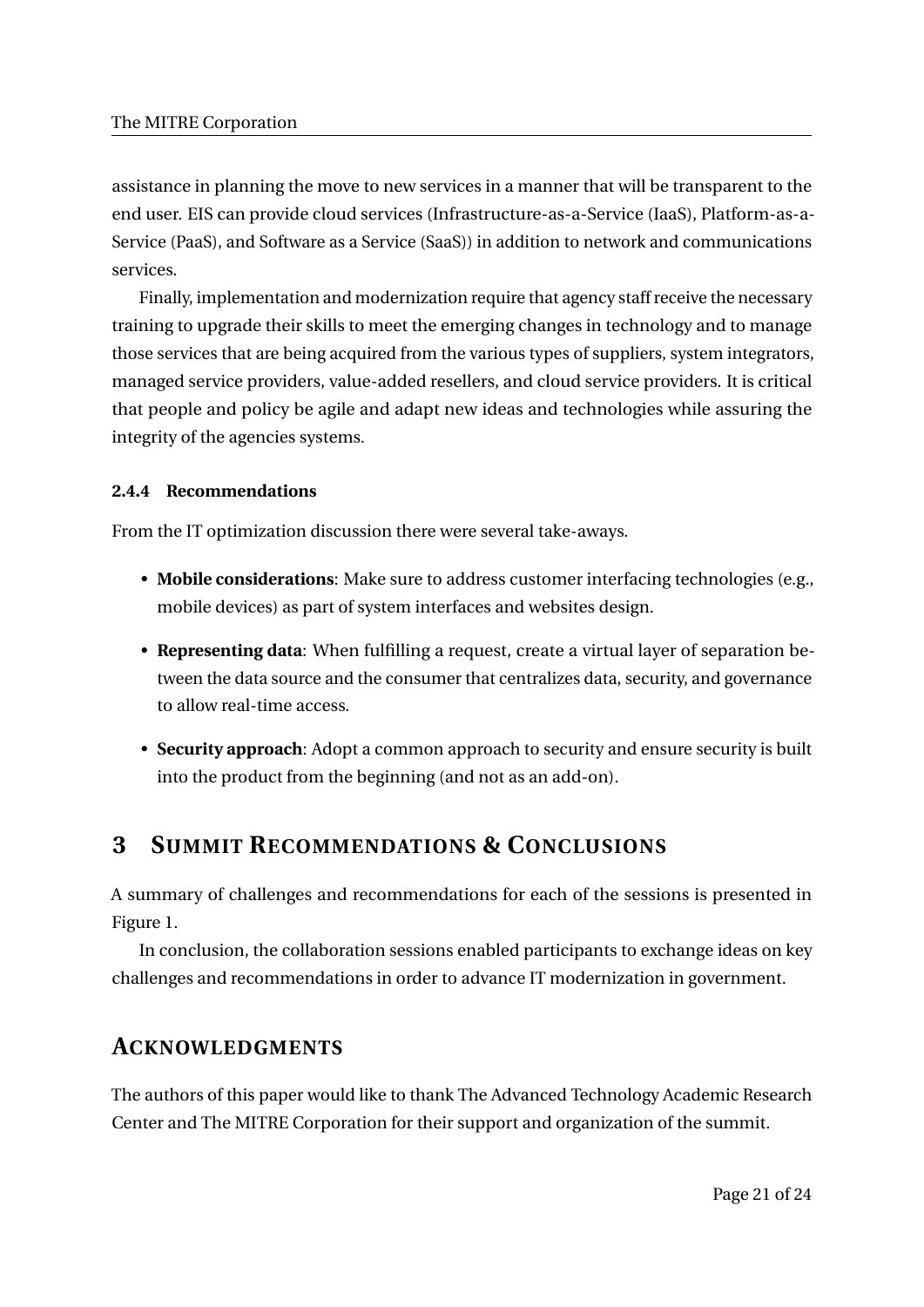assistance in planning the move to new services in a manner that will be transparent to the end user. EIS can provide cloud services (Infrastructure-as-a-Service (IaaS), Platform-as-a-Service (PaaS), and Software as a Service (SaaS)) in addition to network and communications services.

Finally, implementation and modernization require that agency staff receive the necessary training to upgrade their skills to meet the emerging changes in technology and to manage those services that are being acquired from the various types of suppliers, system integrators, managed service providers, value-added resellers, and cloud service providers. It is critical that people and policy be agile and adapt new ideas and technologies while assuring the integrity of the agencies systems.

## **2.4.4 Recommendations**

From the IT optimization discussion there were several take-aways.

- **Mobile considerations**: Make sure to address customer interfacing technologies (e.g., mobile devices) as part of system interfaces and websites design.
- **Representing data**: When fulfilling a request, create a virtual layer of separation between the data source and the consumer that centralizes data, security, and governance to allow real-time access.
- **Security approach**: Adopt a common approach to security and ensure security is built into the product from the beginning (and not as an add-on).

# **3 SUMMIT RECOMMENDATIONS & CONCLUSIONS**

A summary of challenges and recommendations for each of the sessions is presented in Figure 1.

In conclusion, the collaboration sessions enabled participants to exchange ideas on key challenges and recommendations in order to advance IT modernization in government.

# **ACKNOWLEDGMENTS**

The authors of this paper would like to thank The Advanced Technology Academic Research Center and The MITRE Corporation for their support and organization of the summit.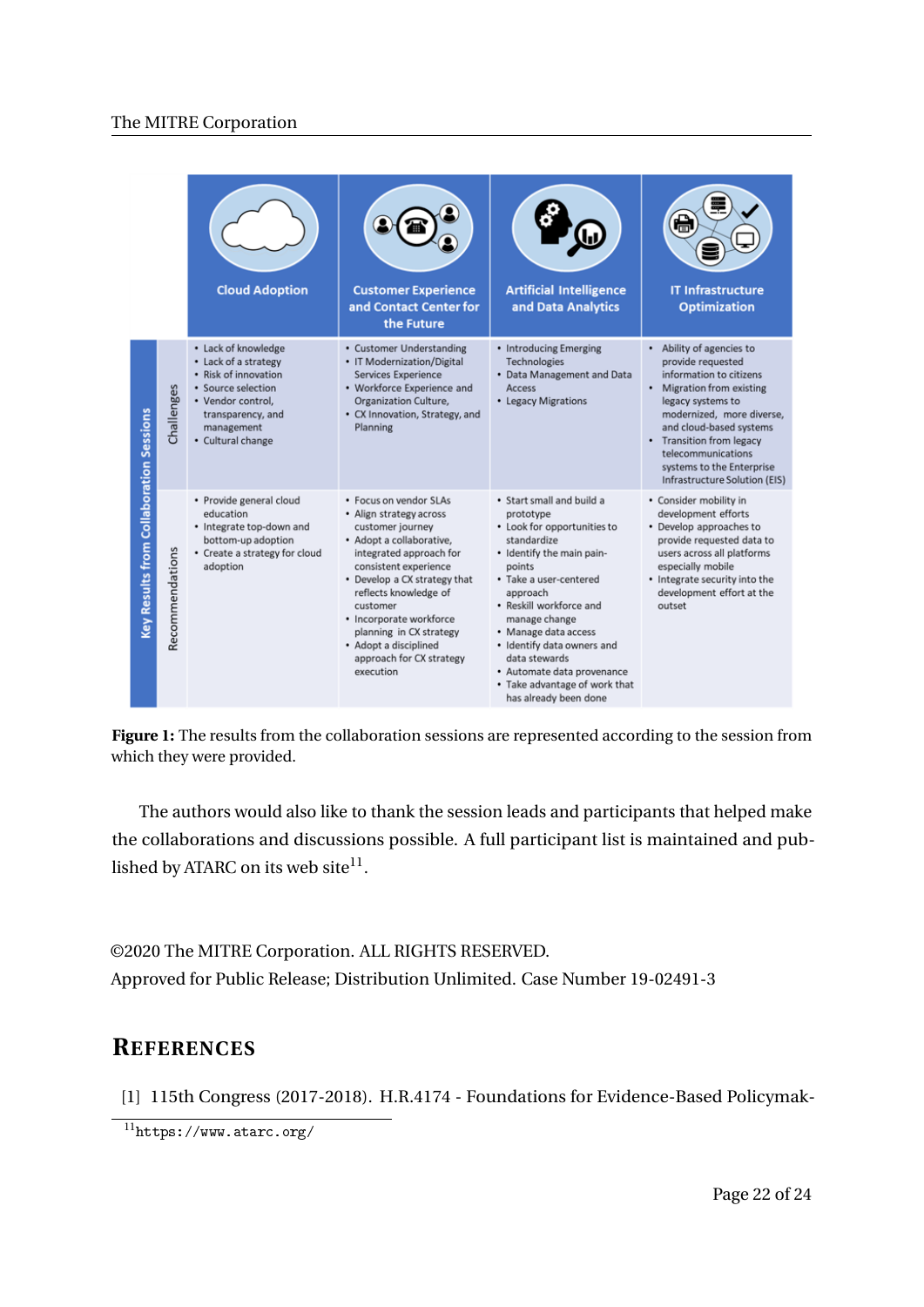|                                         |                 | <b>Cloud Adoption</b>                                                                                                                                                  | <b>Customer Experience</b><br>and Contact Center for<br>the Future                                                                                                                                                                                                                                                                                 | <b>Artificial Intelligence</b><br>and Data Analytics                                                                                                                                                                                                                                                                                                                         | 倡<br><b>IT Infrastructure</b><br><b>Optimization</b>                                                                                                                                                                                                                                                          |
|-----------------------------------------|-----------------|------------------------------------------------------------------------------------------------------------------------------------------------------------------------|----------------------------------------------------------------------------------------------------------------------------------------------------------------------------------------------------------------------------------------------------------------------------------------------------------------------------------------------------|------------------------------------------------------------------------------------------------------------------------------------------------------------------------------------------------------------------------------------------------------------------------------------------------------------------------------------------------------------------------------|---------------------------------------------------------------------------------------------------------------------------------------------------------------------------------------------------------------------------------------------------------------------------------------------------------------|
|                                         | Challenges      | • Lack of knowledge<br>• Lack of a strategy<br>• Risk of innovation<br>• Source selection<br>• Vendor control,<br>transparency, and<br>management<br>• Cultural change | • Customer Understanding<br>• IT Modernization/Digital<br>Services Experience<br>• Workforce Experience and<br>Organization Culture,<br>• CX Innovation, Strategy, and<br>Planning                                                                                                                                                                 | • Introducing Emerging<br>Technologies<br>• Data Management and Data<br>Access<br>• Legacy Migrations                                                                                                                                                                                                                                                                        | • Ability of agencies to<br>provide requested<br>information to citizens<br>$\bullet$<br>Migration from existing<br>legacy systems to<br>modernized, more diverse,<br>and cloud-based systems<br>• Transition from legacy<br>telecommunications<br>systems to the Enterprise<br>Infrastructure Solution (EIS) |
| Key Results from Collaboration Sessions | Recommendations | · Provide general cloud<br>education<br>· Integrate top-down and<br>bottom-up adoption<br>• Create a strategy for cloud<br>adoption                                    | • Focus on vendor SLAs<br>• Align strategy across<br>customer journey<br>• Adopt a collaborative,<br>integrated approach for<br>consistent experience<br>• Develop a CX strategy that<br>reflects knowledge of<br>customer<br>• Incorporate workforce<br>planning in CX strategy<br>• Adopt a disciplined<br>approach for CX strategy<br>execution | · Start small and build a<br>prototype<br>• Look for opportunities to<br>standardize<br>• Identify the main pain-<br>points<br>· Take a user-centered<br>approach<br>· Reskill workforce and<br>manage change<br>• Manage data access<br>· Identify data owners and<br>data stewards<br>• Automate data provenance<br>• Take advantage of work that<br>has already been done | • Consider mobility in<br>development efforts<br>• Develop approaches to<br>provide requested data to<br>users across all platforms<br>especially mobile<br>• Integrate security into the<br>development effort at the<br>outset                                                                              |

**Figure 1:** The results from the collaboration sessions are represented according to the session from which they were provided.

The authors would also like to thank the session leads and participants that helped make the collaborations and discussions possible. A full participant list is maintained and published by ATARC on its web site $^{11}$ .

©2020 The MITRE Corporation. ALL RIGHTS RESERVED. Approved for Public Release; Distribution Unlimited. Case Number 19-02491-3

# **REFERENCES**

[1] 115th Congress (2017-2018). H.R.4174 - Foundations for Evidence-Based Policymak-

 $11$ https://www.atarc.org/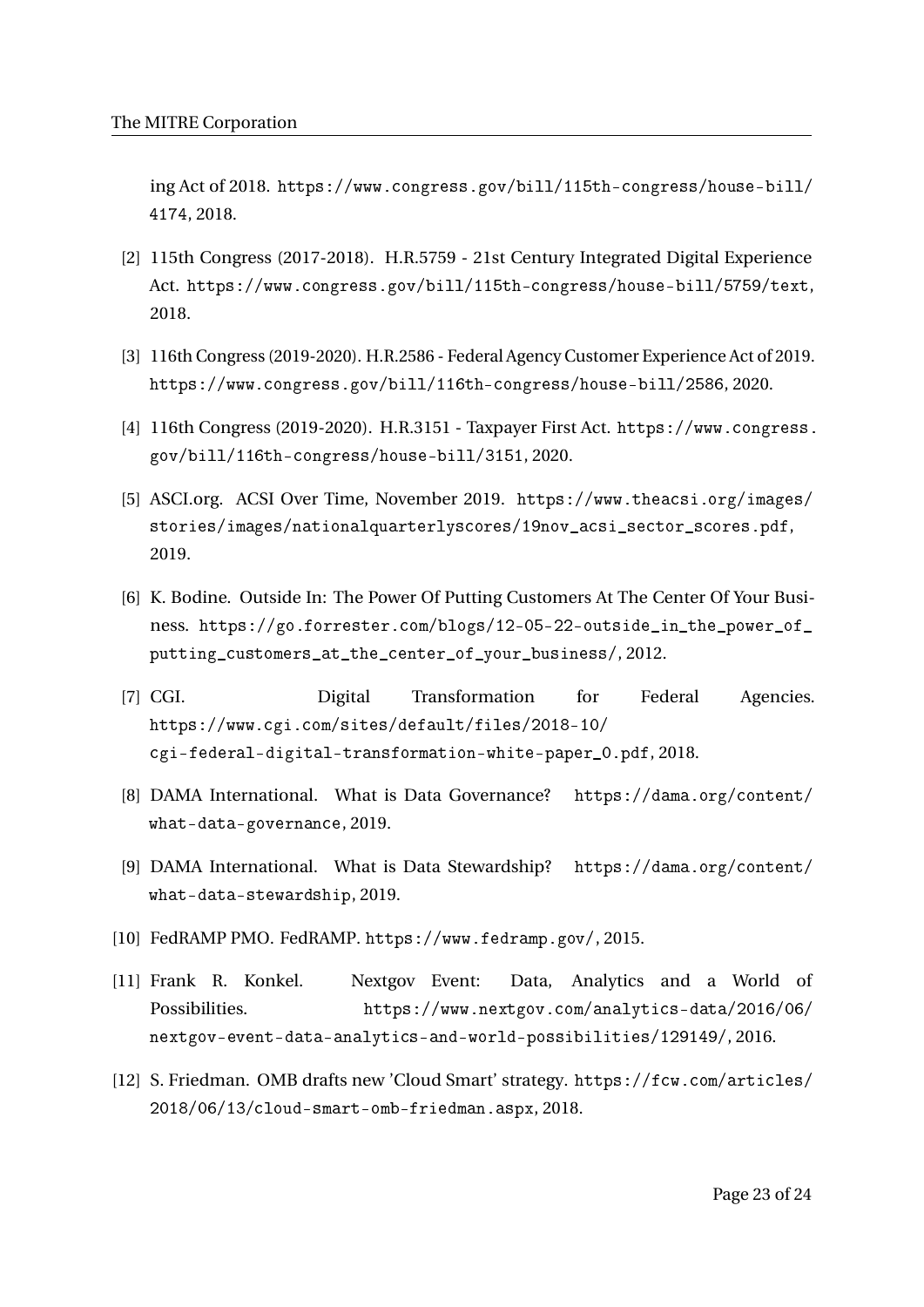ing Act of 2018. https://www.congress.gov/bill/115th-congress/house-bill/ 4174, 2018.

- [2] 115th Congress (2017-2018). H.R.5759 21st Century Integrated Digital Experience Act. https://www.congress.gov/bill/115th-congress/house-bill/5759/text, 2018.
- [3] 116th Congress (2019-2020). H.R.2586 Federal Agency Customer Experience Act of 2019. https://www.congress.gov/bill/116th-congress/house-bill/2586, 2020.
- [4] 116th Congress (2019-2020). H.R.3151 Taxpayer First Act. https://www.congress. gov/bill/116th-congress/house-bill/3151, 2020.
- [5] ASCI.org. ACSI Over Time, November 2019. https://www.theacsi.org/images/ stories/images/nationalquarterlyscores/19nov\_acsi\_sector\_scores.pdf, 2019.
- [6] K. Bodine. Outside In: The Power Of Putting Customers At The Center Of Your Business. https://go.forrester.com/blogs/12-05-22-outside\_in\_the\_power\_of\_ putting\_customers\_at\_the\_center\_of\_your\_business/, 2012.
- [7] CGI. Digital Transformation for Federal Agencies. https://www.cgi.com/sites/default/files/2018-10/ cgi-federal-digital-transformation-white-paper\_0.pdf, 2018.
- [8] DAMA International. What is Data Governance? https://dama.org/content/ what-data-governance, 2019.
- [9] DAMA International. What is Data Stewardship? https://dama.org/content/ what-data-stewardship, 2019.
- [10] FedRAMP PMO. FedRAMP. https://www.fedramp.gov/, 2015.
- [11] Frank R. Konkel. Nextgov Event: Data, Analytics and a World of Possibilities. https://www.nextgov.com/analytics-data/2016/06/ nextgov-event-data-analytics-and-world-possibilities/129149/, 2016.
- [12] S. Friedman. OMB drafts new 'Cloud Smart' strategy. https://fcw.com/articles/ 2018/06/13/cloud-smart-omb-friedman.aspx, 2018.